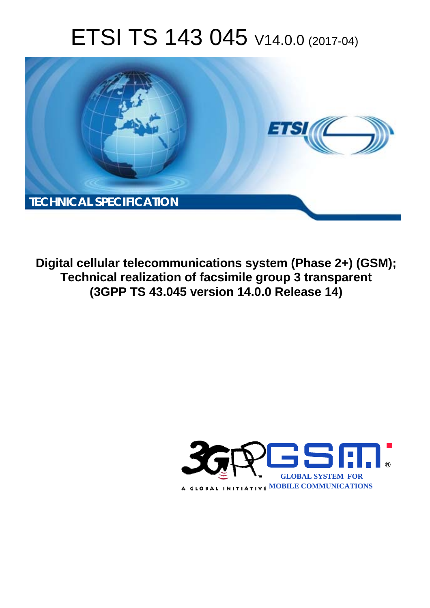# ETSI TS 143 045 V14.0.0 (2017-04)



**Digital cellular telecommunications system (Phase 2+) (GSM); Technical realization of facsimile group 3 transparent (3GPP TS 43.045 version 14.0.0 Release 14)** 

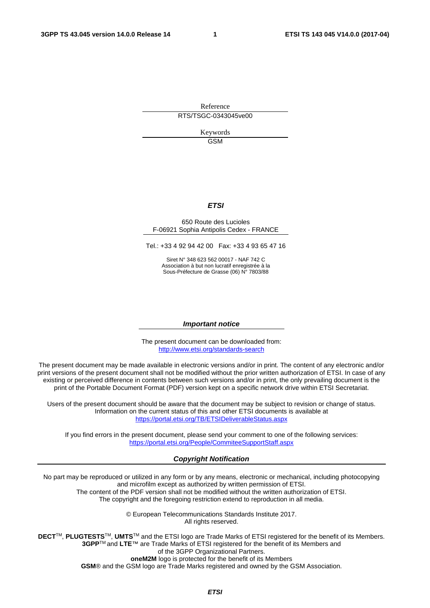Reference RTS/TSGC-0343045ve00

> Keywords GSM

#### *ETSI*

#### 650 Route des Lucioles F-06921 Sophia Antipolis Cedex - FRANCE

Tel.: +33 4 92 94 42 00 Fax: +33 4 93 65 47 16

Siret N° 348 623 562 00017 - NAF 742 C Association à but non lucratif enregistrée à la Sous-Préfecture de Grasse (06) N° 7803/88

#### *Important notice*

The present document can be downloaded from: <http://www.etsi.org/standards-search>

The present document may be made available in electronic versions and/or in print. The content of any electronic and/or print versions of the present document shall not be modified without the prior written authorization of ETSI. In case of any existing or perceived difference in contents between such versions and/or in print, the only prevailing document is the print of the Portable Document Format (PDF) version kept on a specific network drive within ETSI Secretariat.

Users of the present document should be aware that the document may be subject to revision or change of status. Information on the current status of this and other ETSI documents is available at <https://portal.etsi.org/TB/ETSIDeliverableStatus.aspx>

If you find errors in the present document, please send your comment to one of the following services: <https://portal.etsi.org/People/CommiteeSupportStaff.aspx>

#### *Copyright Notification*

No part may be reproduced or utilized in any form or by any means, electronic or mechanical, including photocopying and microfilm except as authorized by written permission of ETSI.

The content of the PDF version shall not be modified without the written authorization of ETSI. The copyright and the foregoing restriction extend to reproduction in all media.

> © European Telecommunications Standards Institute 2017. All rights reserved.

**DECT**TM, **PLUGTESTS**TM, **UMTS**TM and the ETSI logo are Trade Marks of ETSI registered for the benefit of its Members. **3GPP**TM and **LTE**™ are Trade Marks of ETSI registered for the benefit of its Members and of the 3GPP Organizational Partners.

**oneM2M** logo is protected for the benefit of its Members

**GSM**® and the GSM logo are Trade Marks registered and owned by the GSM Association.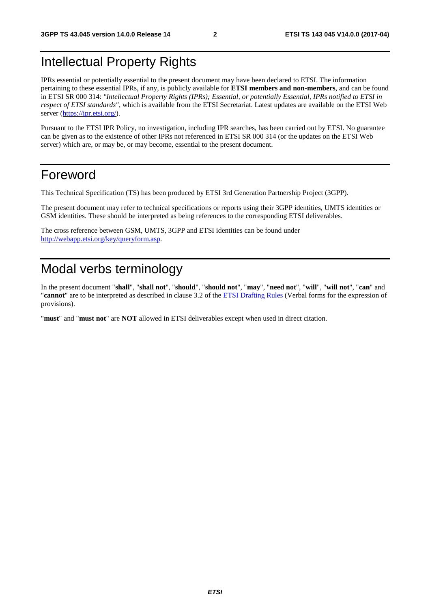## Intellectual Property Rights

IPRs essential or potentially essential to the present document may have been declared to ETSI. The information pertaining to these essential IPRs, if any, is publicly available for **ETSI members and non-members**, and can be found in ETSI SR 000 314: *"Intellectual Property Rights (IPRs); Essential, or potentially Essential, IPRs notified to ETSI in respect of ETSI standards"*, which is available from the ETSI Secretariat. Latest updates are available on the ETSI Web server ([https://ipr.etsi.org/\)](https://ipr.etsi.org/).

Pursuant to the ETSI IPR Policy, no investigation, including IPR searches, has been carried out by ETSI. No guarantee can be given as to the existence of other IPRs not referenced in ETSI SR 000 314 (or the updates on the ETSI Web server) which are, or may be, or may become, essential to the present document.

## Foreword

This Technical Specification (TS) has been produced by ETSI 3rd Generation Partnership Project (3GPP).

The present document may refer to technical specifications or reports using their 3GPP identities, UMTS identities or GSM identities. These should be interpreted as being references to the corresponding ETSI deliverables.

The cross reference between GSM, UMTS, 3GPP and ETSI identities can be found under [http://webapp.etsi.org/key/queryform.asp.](http://webapp.etsi.org/key/queryform.asp)

## Modal verbs terminology

In the present document "**shall**", "**shall not**", "**should**", "**should not**", "**may**", "**need not**", "**will**", "**will not**", "**can**" and "**cannot**" are to be interpreted as described in clause 3.2 of the [ETSI Drafting Rules](https://portal.etsi.org/Services/editHelp!/Howtostart/ETSIDraftingRules.aspx) (Verbal forms for the expression of provisions).

"**must**" and "**must not**" are **NOT** allowed in ETSI deliverables except when used in direct citation.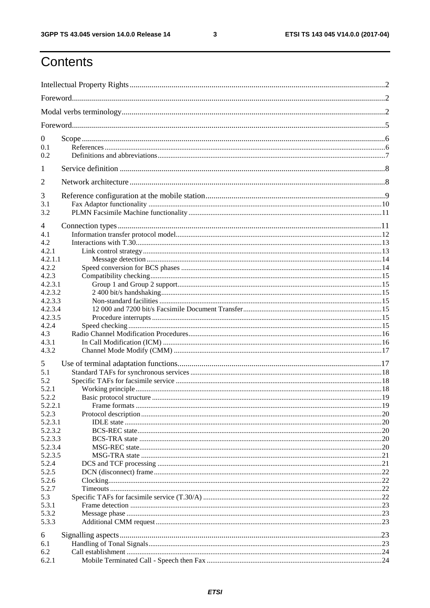$\mathbf{3}$ 

## Contents

| $\boldsymbol{0}$   |  |  |  |  |  |
|--------------------|--|--|--|--|--|
| 0.1                |  |  |  |  |  |
| 0.2                |  |  |  |  |  |
| 1                  |  |  |  |  |  |
| $\overline{2}$     |  |  |  |  |  |
| 3                  |  |  |  |  |  |
| 3.1                |  |  |  |  |  |
| 3.2                |  |  |  |  |  |
| 4                  |  |  |  |  |  |
| 4.1                |  |  |  |  |  |
| 4.2                |  |  |  |  |  |
| 4.2.1              |  |  |  |  |  |
| 4.2.1.1            |  |  |  |  |  |
| 4.2.2              |  |  |  |  |  |
| 4.2.3              |  |  |  |  |  |
| 4.2.3.1            |  |  |  |  |  |
| 4.2.3.2            |  |  |  |  |  |
| 4.2.3.3            |  |  |  |  |  |
| 4.2.3.4            |  |  |  |  |  |
| 4.2.3.5            |  |  |  |  |  |
| 4.2.4              |  |  |  |  |  |
| 4.3                |  |  |  |  |  |
| 4.3.1              |  |  |  |  |  |
| 4.3.2              |  |  |  |  |  |
| 5                  |  |  |  |  |  |
| 5.1                |  |  |  |  |  |
| 5.2                |  |  |  |  |  |
| 5.2.1              |  |  |  |  |  |
| 5.2.2              |  |  |  |  |  |
| 5.2.2.1            |  |  |  |  |  |
| 5.2.3              |  |  |  |  |  |
| 5.2.3.1<br>5.2.3.2 |  |  |  |  |  |
| 5.2.3.3            |  |  |  |  |  |
| 5.2.3.4            |  |  |  |  |  |
| 5.2.3.5            |  |  |  |  |  |
| 5.2.4              |  |  |  |  |  |
| 5.2.5              |  |  |  |  |  |
| 5.2.6              |  |  |  |  |  |
| 5.2.7              |  |  |  |  |  |
| 5.3                |  |  |  |  |  |
| 5.3.1              |  |  |  |  |  |
| 5.3.2              |  |  |  |  |  |
| 5.3.3              |  |  |  |  |  |
| 6                  |  |  |  |  |  |
| 6.1                |  |  |  |  |  |
| 6.2                |  |  |  |  |  |
| 6.2.1              |  |  |  |  |  |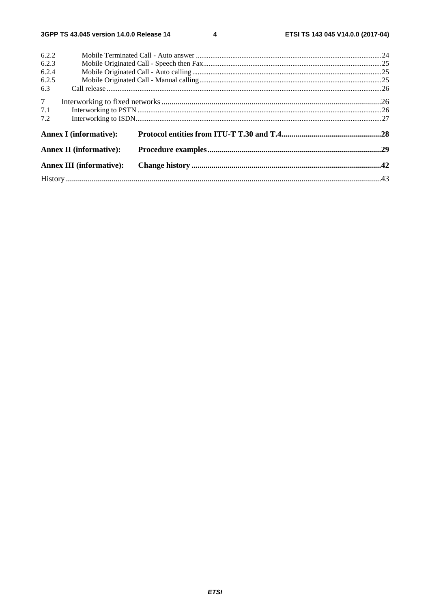$\overline{\mathbf{4}}$ 

| 6.2.2          |                                 |  |  |  |
|----------------|---------------------------------|--|--|--|
| 6.2.3          |                                 |  |  |  |
| 6.2.4          |                                 |  |  |  |
| 6.2.5          |                                 |  |  |  |
| 6.3            |                                 |  |  |  |
| 7 <sup>7</sup> |                                 |  |  |  |
| 7.1            |                                 |  |  |  |
| 7.2            |                                 |  |  |  |
|                | <b>Annex I</b> (informative):   |  |  |  |
|                | <b>Annex II (informative):</b>  |  |  |  |
|                | <b>Annex III (informative):</b> |  |  |  |
|                |                                 |  |  |  |
|                |                                 |  |  |  |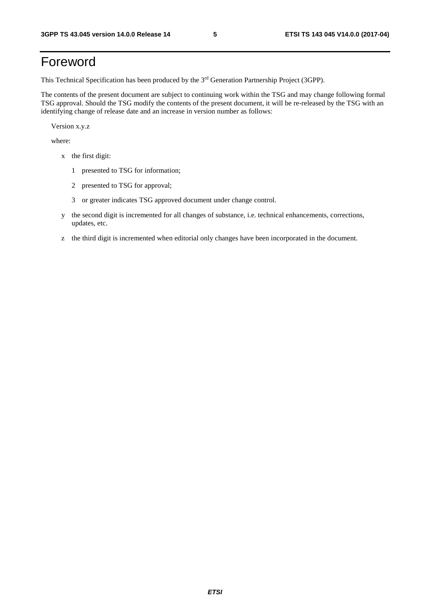## Foreword

This Technical Specification has been produced by the 3rd Generation Partnership Project (3GPP).

The contents of the present document are subject to continuing work within the TSG and may change following formal TSG approval. Should the TSG modify the contents of the present document, it will be re-released by the TSG with an identifying change of release date and an increase in version number as follows:

Version x.y.z

where:

- x the first digit:
	- 1 presented to TSG for information;
	- 2 presented to TSG for approval;
	- 3 or greater indicates TSG approved document under change control.
- y the second digit is incremented for all changes of substance, i.e. technical enhancements, corrections, updates, etc.
- z the third digit is incremented when editorial only changes have been incorporated in the document.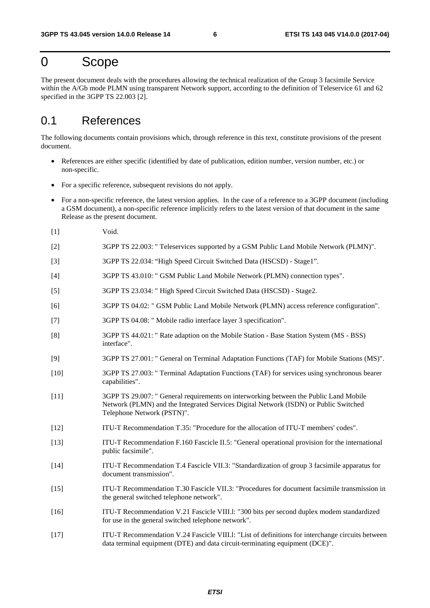## 0 Scope

The present document deals with the procedures allowing the technical realization of the Group 3 facsimile Service within the A/Gb mode PLMN using transparent Network support, according to the definition of Teleservice 61 and 62 specified in the 3GPP TS 22.003 [2].

## 0.1 References

The following documents contain provisions which, through reference in this text, constitute provisions of the present document.

- References are either specific (identified by date of publication, edition number, version number, etc.) or non-specific.
- For a specific reference, subsequent revisions do not apply.
- For a non-specific reference, the latest version applies. In the case of a reference to a 3GPP document (including a GSM document), a non-specific reference implicitly refers to the latest version of that document in the same Release as the present document.
- [1] Void.
- [2] 3GPP TS 22.003: " Teleservices supported by a GSM Public Land Mobile Network (PLMN)".
- [3] 3GPP TS 22.034: "High Speed Circuit Switched Data (HSCSD) Stage1".
- [4] 3GPP TS 43.010: " GSM Public Land Mobile Network (PLMN) connection types".
- [5] 3GPP TS 23.034: " High Speed Circuit Switched Data (HSCSD) Stage2.
- [6] 3GPP TS 04.02: " GSM Public Land Mobile Network (PLMN) access reference configuration".
- [7] 3GPP TS 04.08: " Mobile radio interface layer 3 specification".
- [8] 3GPP TS 44.021: " Rate adaption on the Mobile Station Base Station System (MS BSS) interface".
- [9] 3GPP TS 27.001: " General on Terminal Adaptation Functions (TAF) for Mobile Stations (MS)".
- [10] 3GPP TS 27.003: " Terminal Adaptation Functions (TAF) for services using synchronous bearer capabilities".
- [11] 3GPP TS 29.007: " General requirements on interworking between the Public Land Mobile Network (PLMN) and the Integrated Services Digital Network (ISDN) or Public Switched Telephone Network (PSTN)".
- [12] ITU-T Recommendation T.35: "Procedure for the allocation of ITU-T members' codes".
- [13] ITU-T Recommendation F.160 Fascicle II.5: "General operational provision for the international public facsimile".
- [14] ITU-T Recommendation T.4 Fascicle VII.3: "Standardization of group 3 facsimile apparatus for document transmission".
- [15] ITU-T Recommendation T.30 Fascicle VII.3: "Procedures for document facsimile transmission in the general switched telephone network".
- [16] ITU-T Recommendation V.21 Fascicle VIII.l: "300 bits per second duplex modem standardized for use in the general switched telephone network".
- [17] ITU-T Recommendation V.24 Fascicle VIII.l: "List of definitions for interchange circuits between data terminal equipment (DTE) and data circuit-terminating equipment (DCE)".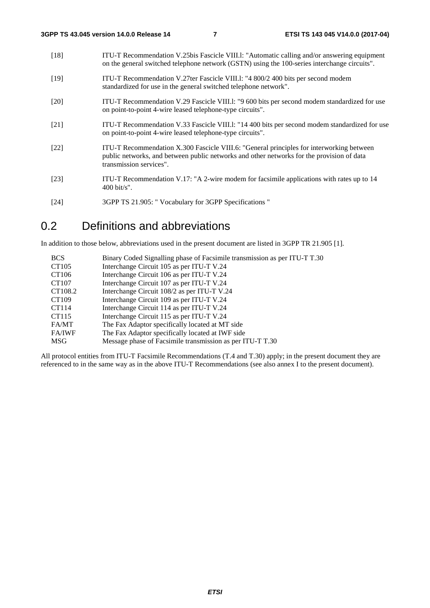| [18]               | ITU-T Recommendation V.25bis Fascicle VIII.1: "Automatic calling and/or answering equipment<br>on the general switched telephone network (GSTN) using the 100-series interchange circuits".                      |
|--------------------|------------------------------------------------------------------------------------------------------------------------------------------------------------------------------------------------------------------|
| $[19]$             | ITU-T Recommendation V.27ter Fascicle VIII.1: "4 800/2 400 bits per second modem<br>standardized for use in the general switched telephone network".                                                             |
| $\lceil 20 \rceil$ | ITU-T Recommendation V.29 Fascicle VIII.1: "9 600 bits per second modem standardized for use<br>on point-to-point 4-wire leased telephone-type circuits".                                                        |
| [21]               | ITU-T Recommendation V.33 Fascicle VIII.1: "14 400 bits per second modem standardized for use<br>on point-to-point 4-wire leased telephone-type circuits".                                                       |
| $[22]$             | ITU-T Recommendation X.300 Fascicle VIII.6: "General principles for interworking between<br>public networks, and between public networks and other networks for the provision of data<br>transmission services". |
| [23]               | ITU-T Recommendation V.17: "A 2-wire modem for facsimile applications with rates up to 14<br>$400 \text{ bit/s}$ ".                                                                                              |

[24] 3GPP TS 21.905: " Vocabulary for 3GPP Specifications "

## 0.2 Definitions and abbreviations

In addition to those below, abbreviations used in the present document are listed in 3GPP TR 21.905 [1].

| Binary Coded Signalling phase of Facsimile transmission as per ITU-T T.30 |
|---------------------------------------------------------------------------|
| Interchange Circuit 105 as per ITU-T V.24                                 |
| Interchange Circuit 106 as per ITU-T V.24                                 |
| Interchange Circuit 107 as per ITU-T V.24                                 |
| Interchange Circuit 108/2 as per ITU-T V.24                               |
| Interchange Circuit 109 as per ITU-T V.24                                 |
| Interchange Circuit 114 as per ITU-T V.24                                 |
| Interchange Circuit 115 as per ITU-T V.24                                 |
| The Fax Adaptor specifically located at MT side                           |
| The Fax Adaptor specifically located at IWF side                          |
| Message phase of Facsimile transmission as per ITU-T T.30                 |
|                                                                           |

All protocol entities from ITU-T Facsimile Recommendations (T.4 and T.30) apply; in the present document they are referenced to in the same way as in the above ITU-T Recommendations (see also annex I to the present document).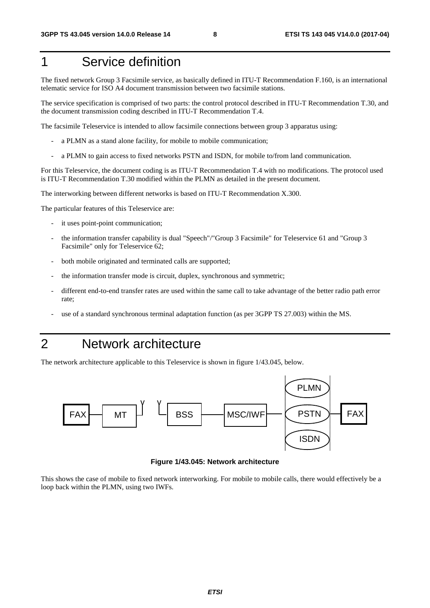## 1 Service definition

The fixed network Group 3 Facsimile service, as basically defined in ITU-T Recommendation F.160, is an international telematic service for ISO A4 document transmission between two facsimile stations.

The service specification is comprised of two parts: the control protocol described in ITU-T Recommendation T.30, and the document transmission coding described in ITU-T Recommendation T.4.

The facsimile Teleservice is intended to allow facsimile connections between group 3 apparatus using:

- a PLMN as a stand alone facility, for mobile to mobile communication;
- a PLMN to gain access to fixed networks PSTN and ISDN, for mobile to/from land communication.

For this Teleservice, the document coding is as ITU-T Recommendation T.4 with no modifications. The protocol used is ITU-T Recommendation T.30 modified within the PLMN as detailed in the present document.

The interworking between different networks is based on ITU-T Recommendation X.300.

The particular features of this Teleservice are:

- it uses point-point communication;
- the information transfer capability is dual "Speech"/"Group 3 Facsimile" for Teleservice 61 and "Group 3 Facsimile" only for Teleservice 62;
- both mobile originated and terminated calls are supported;
- the information transfer mode is circuit, duplex, synchronous and symmetric;
- different end-to-end transfer rates are used within the same call to take advantage of the better radio path error rate;
- use of a standard synchronous terminal adaptation function (as per 3GPP TS 27.003) within the MS.

## 2 Network architecture

The network architecture applicable to this Teleservice is shown in figure 1/43.045, below.



**Figure 1/43.045: Network architecture** 

This shows the case of mobile to fixed network interworking. For mobile to mobile calls, there would effectively be a loop back within the PLMN, using two IWFs.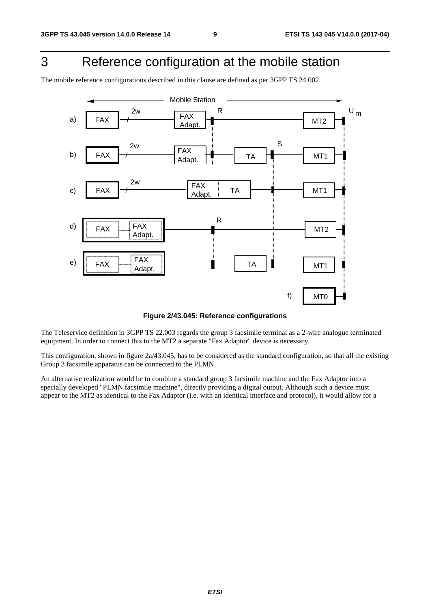## 3 Reference configuration at the mobile station

The mobile reference configurations described in this clause are defined as per 3GPP TS 24.002.



**Figure 2/43.045: Reference configurations** 

The Teleservice definition in 3GPP TS 22.003 regards the group 3 facsimile terminal as a 2-wire analogue terminated equipment. In order to connect this to the MT2 a separate "Fax Adaptor" device is necessary.

This configuration, shown in figure 2a/43.045, has to be considered as the standard configuration, so that all the existing Group 3 facsimile apparatus can be connected to the PLMN.

An alternative realization would be to combine a standard group 3 facsimile machine and the Fax Adaptor into a specially developed "PLMN facsimile machine", directly providing a digital output. Although such a device must appear to the MT2 as identical to the Fax Adaptor (i.e. with an identical interface and protocol), it would allow for a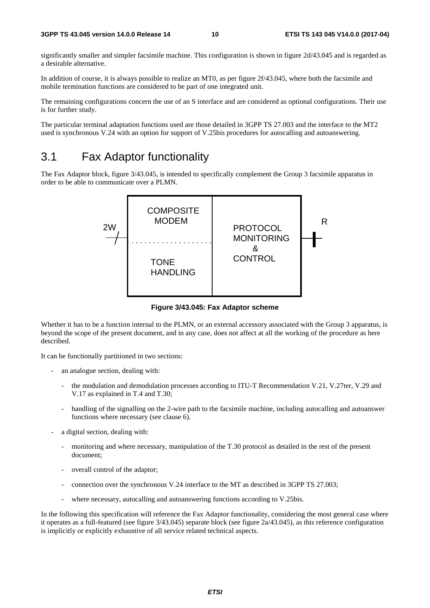significantly smaller and simpler facsimile machine. This configuration is shown in figure 2d/43.045 and is regarded as a desirable alternative.

In addition of course, it is always possible to realize an MT0, as per figure 2f/43.045, where both the facsimile and mobile termination functions are considered to be part of one integrated unit.

The remaining configurations concern the use of an S interface and are considered as optional configurations. Their use is for further study.

The particular terminal adaptation functions used are those detailed in 3GPP TS 27.003 and the interface to the MT2 used is synchronous V.24 with an option for support of V.25bis procedures for autocalling and autoanswering.

## 3.1 Fax Adaptor functionality

The Fax Adaptor block, figure 3/43.045, is intended to specifically complement the Group 3 facsimile apparatus in order to be able to communicate over a PLMN.



**Figure 3/43.045: Fax Adaptor scheme** 

Whether it has to be a function internal to the PLMN, or an external accessory associated with the Group 3 apparatus, is beyond the scope of the present document, and in any case, does not affect at all the working of the procedure as here described.

It can be functionally partitioned in two sections:

- an analogue section, dealing with:
	- the modulation and demodulation processes according to ITU-T Recommendation V.21, V.27ter, V.29 and V.17 as explained in T.4 and T.30;
	- handling of the signalling on the 2-wire path to the facsimile machine, including autocalling and autoanswer functions where necessary (see clause 6).
- a digital section, dealing with:
	- monitoring and where necessary, manipulation of the T.30 protocol as detailed in the rest of the present document;
	- overall control of the adaptor;
	- connection over the synchronous V.24 interface to the MT as described in 3GPP TS 27.003;
	- where necessary, autocalling and autoanswering functions according to V.25bis.

In the following this specification will reference the Fax Adaptor functionality, considering the most general case where it operates as a full-featured (see figure 3/43.045) separate block (see figure 2a/43.045), as this reference configuration is implicitly or explicitly exhaustive of all service related technical aspects.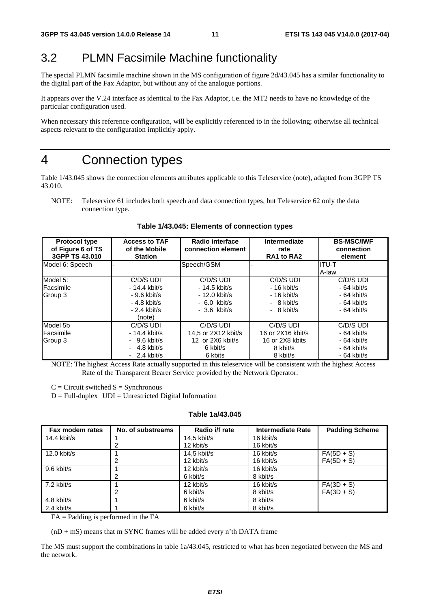## 3.2 PLMN Facsimile Machine functionality

The special PLMN facsimile machine shown in the MS configuration of figure 2d/43.045 has a similar functionality to the digital part of the Fax Adaptor, but without any of the analogue portions.

It appears over the V.24 interface as identical to the Fax Adaptor, i.e. the MT2 needs to have no knowledge of the particular configuration used.

When necessary this reference configuration, will be explicitly referenced to in the following; otherwise all technical aspects relevant to the configuration implicitly apply.

## 4 Connection types

Table 1/43.045 shows the connection elements attributes applicable to this Teleservice (note), adapted from 3GPP TS 43.010.

NOTE: Teleservice 61 includes both speech and data connection types, but Teleservice 62 only the data connection type.

| <b>Protocol type</b><br>of Figure 6 of TS<br>3GPP TS 43,010 | <b>Access to TAF</b><br>of the Mobile<br><b>Station</b>                                 | Radio interface<br>connection element                                          | Intermediate<br>rate<br>RA1 to RA2                                        | <b>BS-MSC/IWF</b><br>connection<br>element                                |
|-------------------------------------------------------------|-----------------------------------------------------------------------------------------|--------------------------------------------------------------------------------|---------------------------------------------------------------------------|---------------------------------------------------------------------------|
| Model 6: Speech                                             |                                                                                         | Speech/GSM                                                                     |                                                                           | IITU-T<br>A-law                                                           |
| Model 5:<br>Facsimile<br>Group 3                            | C/D/S UDI<br>$-14.4$ kbit/s<br>$-9.6$ kbit/s<br>$-4.8$ kbit/s<br>$-2.4$ kbit/s          | C/D/S UDI<br>$-14.5$ kbit/s<br>- 12.0 kbit/s<br>$-6.0$ kbit/s<br>$-3.6$ kbit/s | C/D/S UDI<br>$-16$ kbit/s<br>$-16$ kbit/s<br>$-8$ kbit/s<br>$-8$ kbit/s   | C/D/S UDI<br>$-64$ kbit/s<br>$-64$ kbit/s<br>$-64$ kbit/s<br>$-64$ kbit/s |
| Model 5b<br>Facsimile<br>Group 3                            | (note)<br>C/D/S UDI<br>- 14.4 kbit/s<br>$-9.6$ kbit/s<br>$-4.8$ kbit/s<br>$-2.4$ kbit/s | C/D/S UDI<br>14.5 or 2X12 kbit/s<br>12 or 2X6 kbit/s<br>6 kbit/s<br>6 kbits    | C/D/S UDI<br>16 or 2X16 kbit/s<br>16 or 2X8 kbits<br>8 kbit/s<br>8 kbit/s | C/D/S UDI<br>$-64$ kbit/s<br>$-64$ kbit/s<br>$-64$ kbit/s<br>$-64$ kbit/s |

**Table 1/43.045: Elements of connection types** 

NOTE: The highest Access Rate actually supported in this teleservice will be consistent with the highest Access Rate of the Transparent Bearer Service provided by the Network Operator.

 $C =$  Circuit switched  $S =$  Synchronous

 $D = Full-duplex$   $UDI = Unrestricted Digital Information$ 

#### **Table 1a/43.045**

| Fax modem rates | No. of substreams | Radio i/f rate | <b>Intermediate Rate</b> | <b>Padding Scheme</b> |
|-----------------|-------------------|----------------|--------------------------|-----------------------|
| $14.4$ kbit/s   |                   | 14,5 kbit/s    | 16 kbit/s                |                       |
|                 |                   | 12 kbit/s      | 16 kbit/s                |                       |
| 12.0 kbit/s     |                   | $14.5$ kbit/s  | 16 kbit/s                | $FA(5D + S)$          |
|                 | 2                 | 12 kbit/s      | 16 kbit/s                | $FA(5D + S)$          |
| 9.6 kbit/s      |                   | 12 kbit/s      | 16 kbit/s                |                       |
|                 | 2                 | 6 kbit/s       | 8 kbit/s                 |                       |
| 7.2 kbit/s      |                   | 12 kbit/s      | 16 kbit/s                | $FA(3D + S)$          |
|                 | 2                 | 6 kbit/s       | 8 kbit/s                 | $FA(3D + S)$          |
| 4.8 kbit/s      |                   | 6 kbit/s       | 8 kbit/s                 |                       |
| 2.4 kbit/s      |                   | 6 kbit/s       | 8 kbit/s                 |                       |

FA = Padding is performed in the FA

 $(nD + mS)$  means that m SYNC frames will be added every n'th DATA frame

The MS must support the combinations in table 1a/43.045, restricted to what has been negotiated between the MS and the network.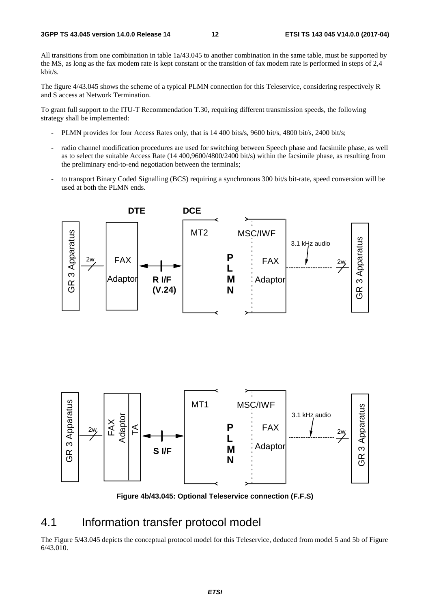All transitions from one combination in table 1a/43.045 to another combination in the same table, must be supported by the MS, as long as the fax modem rate is kept constant or the transition of fax modem rate is performed in steps of 2,4 kbit/s.

The figure 4/43.045 shows the scheme of a typical PLMN connection for this Teleservice, considering respectively R and S access at Network Termination.

To grant full support to the ITU-T Recommendation T.30, requiring different transmission speeds, the following strategy shall be implemented:

- PLMN provides for four Access Rates only, that is 14 400 bits/s, 9600 bit/s, 4800 bit/s, 2400 bit/s;
- radio channel modification procedures are used for switching between Speech phase and facsimile phase, as well as to select the suitable Access Rate (14 400,9600/4800/2400 bit/s) within the facsimile phase, as resulting from the preliminary end-to-end negotiation between the terminals;
- to transport Binary Coded Signalling (BCS) requiring a synchronous 300 bit/s bit-rate, speed conversion will be used at both the PLMN ends.





**Figure 4b/43.045: Optional Teleservice connection (F.F.S)** 

### 4.1 Information transfer protocol model

The Figure 5/43.045 depicts the conceptual protocol model for this Teleservice, deduced from model 5 and 5b of Figure 6/43.010.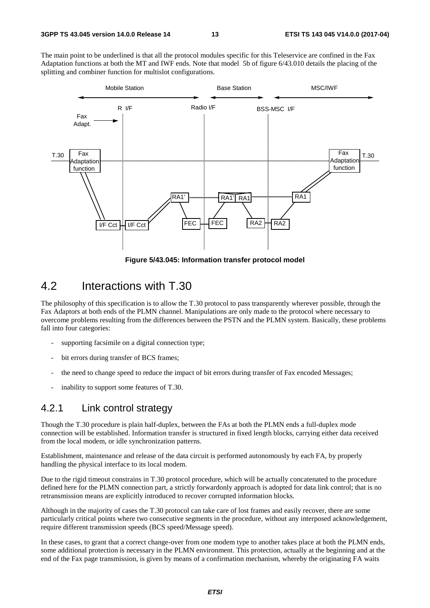The main point to be underlined is that all the protocol modules specific for this Teleservice are confined in the Fax Adaptation functions at both the MT and IWF ends. Note that model 5b of figure 6/43.010 details the placing of the splitting and combiner function for multislot configurations.



**Figure 5/43.045: Information transfer protocol model** 

### 4.2 Interactions with T.30

The philosophy of this specification is to allow the T.30 protocol to pass transparently wherever possible, through the Fax Adaptors at both ends of the PLMN channel. Manipulations are only made to the protocol where necessary to overcome problems resulting from the differences between the PSTN and the PLMN system. Basically, these problems fall into four categories:

- supporting facsimile on a digital connection type;
- bit errors during transfer of BCS frames;
- the need to change speed to reduce the impact of bit errors during transfer of Fax encoded Messages;
- inability to support some features of T.30.

### 4.2.1 Link control strategy

Though the T.30 procedure is plain half-duplex, between the FAs at both the PLMN ends a full-duplex mode connection will be established. Information transfer is structured in fixed length blocks, carrying either data received from the local modem, or idle synchronization patterns.

Establishment, maintenance and release of the data circuit is performed autonomously by each FA, by properly handling the physical interface to its local modem.

Due to the rigid timeout constrains in T.30 protocol procedure, which will be actually concatenated to the procedure defined here for the PLMN connection part, a strictly forwardonly approach is adopted for data link control; that is no retransmission means are explicitly introduced to recover corrupted information blocks.

Although in the majority of cases the T.30 protocol can take care of lost frames and easily recover, there are some particularly critical points where two consecutive segments in the procedure, without any interposed acknowledgement, require different transmission speeds (BCS speed/Message speed).

In these cases, to grant that a correct change-over from one modem type to another takes place at both the PLMN ends, some additional protection is necessary in the PLMN environment. This protection, actually at the beginning and at the end of the Fax page transmission, is given by means of a confirmation mechanism, whereby the originating FA waits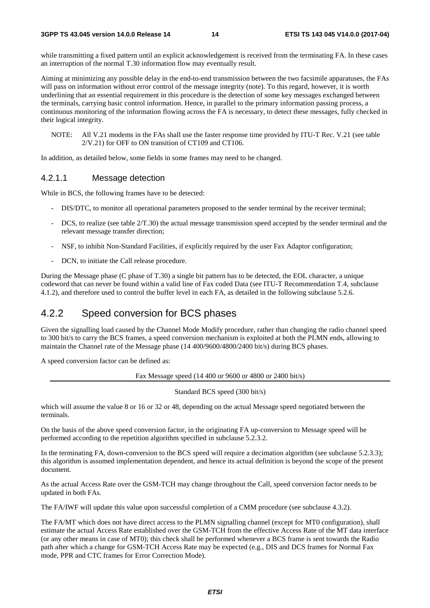while transmitting a fixed pattern until an explicit acknowledgement is received from the terminating FA. In these cases an interruption of the normal T.30 information flow may eventually result.

Aiming at minimizing any possible delay in the end-to-end transmission between the two facsimile apparatuses, the FAs will pass on information without error control of the message integrity (note). To this regard, however, it is worth underlining that an essential requirement in this procedure is the detection of some key messages exchanged between the terminals, carrying basic control information. Hence, in parallel to the primary information passing process, a continuous monitoring of the information flowing across the FA is necessary, to detect these messages, fully checked in their logical integrity.

NOTE: All V.21 modems in the FAs shall use the faster response time provided by ITU-T Rec. V.21 (see table 2/V.21) for OFF to ON transition of CT109 and CT106.

In addition, as detailed below, some fields in some frames may need to be changed.

#### 4.2.1.1 Message detection

While in BCS, the following frames have to be detected:

- DIS/DTC, to monitor all operational parameters proposed to the sender terminal by the receiver terminal;
- DCS, to realize (see table  $2/T.30$ ) the actual message transmission speed accepted by the sender terminal and the relevant message transfer direction;
- NSF, to inhibit Non-Standard Facilities, if explicitly required by the user Fax Adaptor configuration;
- DCN, to initiate the Call release procedure.

During the Message phase (C phase of T.30) a single bit pattern has to be detected, the EOL character, a unique codeword that can never be found within a valid line of Fax coded Data (see ITU-T Recommendation T.4, subclause 4.1.2), and therefore used to control the buffer level in each FA, as detailed in the following subclause 5.2.6.

### 4.2.2 Speed conversion for BCS phases

Given the signalling load caused by the Channel Mode Modify procedure, rather than changing the radio channel speed to 300 bit/s to carry the BCS frames, a speed conversion mechanism is exploited at both the PLMN ends, allowing to maintain the Channel rate of the Message phase (14 400/9600/4800/2400 bit/s) during BCS phases.

A speed conversion factor can be defined as:

Fax Message speed (14 400 or 9600 or 4800 or 2400 bit/s)

Standard BCS speed (300 bit/s)

which will assume the value 8 or 16 or 32 or 48, depending on the actual Message speed negotiated between the terminals.

On the basis of the above speed conversion factor, in the originating FA up-conversion to Message speed will be performed according to the repetition algorithm specified in subclause 5.2.3.2.

In the terminating FA, down-conversion to the BCS speed will require a decimation algorithm (see subclause 5.2.3.3); this algorithm is assumed implementation dependent, and hence its actual definition is beyond the scope of the present document.

As the actual Access Rate over the GSM-TCH may change throughout the Call, speed conversion factor needs to be updated in both FAs.

The FA/IWF will update this value upon successful completion of a CMM procedure (see subclause 4.3.2).

The FA/MT which does not have direct access to the PLMN signalling channel (except for MT0 configuration), shall estimate the actual Access Rate established over the GSM-TCH from the effective Access Rate of the MT data interface (or any other means in case of MT0); this check shall be performed whenever a BCS frame is sent towards the Radio path after which a change for GSM-TCH Access Rate may be expected (e.g., DIS and DCS frames for Normal Fax mode, PPR and CTC frames for Error Correction Mode).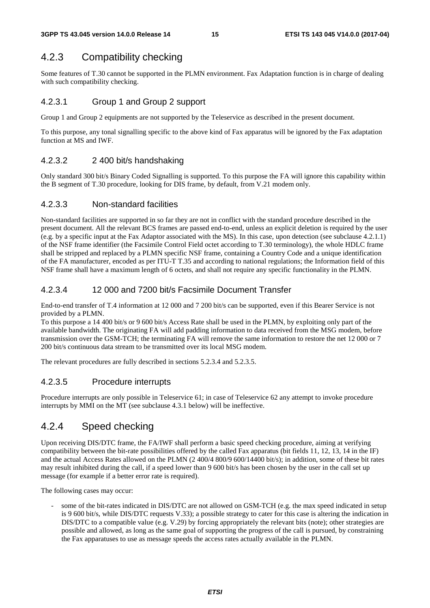### 4.2.3 Compatibility checking

Some features of T.30 cannot be supported in the PLMN environment. Fax Adaptation function is in charge of dealing with such compatibility checking.

#### 4.2.3.1 Group 1 and Group 2 support

Group 1 and Group 2 equipments are not supported by the Teleservice as described in the present document.

To this purpose, any tonal signalling specific to the above kind of Fax apparatus will be ignored by the Fax adaptation function at MS and IWF.

#### 4.2.3.2 2 400 bit/s handshaking

Only standard 300 bit/s Binary Coded Signalling is supported. To this purpose the FA will ignore this capability within the B segment of T.30 procedure, looking for DIS frame, by default, from V.21 modem only.

#### 4.2.3.3 Non-standard facilities

Non-standard facilities are supported in so far they are not in conflict with the standard procedure described in the present document. All the relevant BCS frames are passed end-to-end, unless an explicit deletion is required by the user (e.g. by a specific input at the Fax Adaptor associated with the MS). In this case, upon detection (see subclause 4.2.1.1) of the NSF frame identifier (the Facsimile Control Field octet according to T.30 terminology), the whole HDLC frame shall be stripped and replaced by a PLMN specific NSF frame, containing a Country Code and a unique identification of the FA manufacturer, encoded as per ITU-T T.35 and according to national regulations; the Information field of this NSF frame shall have a maximum length of 6 octets, and shall not require any specific functionality in the PLMN.

#### 4.2.3.4 12 000 and 7200 bit/s Facsimile Document Transfer

End-to-end transfer of T.4 information at 12 000 and 7 200 bit/s can be supported, even if this Bearer Service is not provided by a PLMN.

To this purpose a 14 400 bit/s or 9 600 bit/s Access Rate shall be used in the PLMN, by exploiting only part of the available bandwidth. The originating FA will add padding information to data received from the MSG modem, before transmission over the GSM-TCH; the terminating FA will remove the same information to restore the net 12 000 or 7 200 bit/s continuous data stream to be transmitted over its local MSG modem.

The relevant procedures are fully described in sections 5.2.3.4 and 5.2.3.5.

#### 4.2.3.5 Procedure interrupts

Procedure interrupts are only possible in Teleservice 61; in case of Teleservice 62 any attempt to invoke procedure interrupts by MMI on the MT (see subclause 4.3.1 below) will be ineffective.

### 4.2.4 Speed checking

Upon receiving DIS/DTC frame, the FA/IWF shall perform a basic speed checking procedure, aiming at verifying compatibility between the bit-rate possibilities offered by the called Fax apparatus (bit fields 11, 12, 13, 14 in the IF) and the actual Access Rates allowed on the PLMN (2 400/4 800/9 600/14400 bit/s); in addition, some of these bit rates may result inhibited during the call, if a speed lower than 9 600 bit/s has been chosen by the user in the call set up message (for example if a better error rate is required).

The following cases may occur:

some of the bit-rates indicated in DIS/DTC are not allowed on GSM-TCH (e.g. the max speed indicated in setup is 9 600 bit/s, while DIS/DTC requests V.33); a possible strategy to cater for this case is altering the indication in DIS/DTC to a compatible value (e.g. V.29) by forcing appropriately the relevant bits (note); other strategies are possible and allowed, as long as the same goal of supporting the progress of the call is pursued, by constraining the Fax apparatuses to use as message speeds the access rates actually available in the PLMN.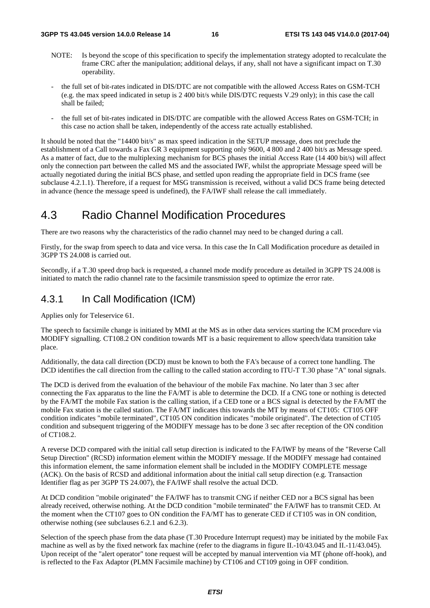- NOTE: Is beyond the scope of this specification to specify the implementation strategy adopted to recalculate the frame CRC after the manipulation; additional delays, if any, shall not have a significant impact on T.30 operability.
- the full set of bit-rates indicated in DIS/DTC are not compatible with the allowed Access Rates on GSM-TCH (e.g. the max speed indicated in setup is 2 400 bit/s while DIS/DTC requests V.29 only); in this case the call shall be failed;
- the full set of bit-rates indicated in DIS/DTC are compatible with the allowed Access Rates on GSM-TCH; in this case no action shall be taken, independently of the access rate actually established.

It should be noted that the "14400 bit/s" as max speed indication in the SETUP message, does not preclude the establishment of a Call towards a Fax GR 3 equipment supporting only 9600, 4 800 and 2 400 bit/s as Message speed. As a matter of fact, due to the multiplexing mechanism for BCS phases the initial Access Rate (14 400 bit/s) will affect only the connection part between the called MS and the associated IWF, whilst the appropriate Message speed will be actually negotiated during the initial BCS phase, and settled upon reading the appropriate field in DCS frame (see subclause 4.2.1.1). Therefore, if a request for MSG transmission is received, without a valid DCS frame being detected in advance (hence the message speed is undefined), the FA/IWF shall release the call immediately.

## 4.3 Radio Channel Modification Procedures

There are two reasons why the characteristics of the radio channel may need to be changed during a call.

Firstly, for the swap from speech to data and vice versa. In this case the In Call Modification procedure as detailed in 3GPP TS 24.008 is carried out.

Secondly, if a T.30 speed drop back is requested, a channel mode modify procedure as detailed in 3GPP TS 24.008 is initiated to match the radio channel rate to the facsimile transmission speed to optimize the error rate.

### 4.3.1 In Call Modification (ICM)

Applies only for Teleservice 61.

The speech to facsimile change is initiated by MMI at the MS as in other data services starting the ICM procedure via MODIFY signalling. CT108.2 ON condition towards MT is a basic requirement to allow speech/data transition take place.

Additionally, the data call direction (DCD) must be known to both the FA's because of a correct tone handling. The DCD identifies the call direction from the calling to the called station according to ITU-T T.30 phase "A" tonal signals.

The DCD is derived from the evaluation of the behaviour of the mobile Fax machine. No later than 3 sec after connecting the Fax apparatus to the line the FA/MT is able to determine the DCD. If a CNG tone or nothing is detected by the FA/MT the mobile Fax station is the calling station, if a CED tone or a BCS signal is detected by the FA/MT the mobile Fax station is the called station. The FA/MT indicates this towards the MT by means of CT105: CT105 OFF condition indicates "mobile terminated", CT105 ON condition indicates "mobile originated". The detection of CT105 condition and subsequent triggering of the MODIFY message has to be done 3 sec after reception of the ON condition of CT108.2.

A reverse DCD compared with the initial call setup direction is indicated to the FA/IWF by means of the "Reverse Call Setup Direction" (RCSD) information element within the MODIFY message. If the MODIFY message had contained this information element, the same information element shall be included in the MODIFY COMPLETE message (ACK). On the basis of RCSD and additional information about the initial call setup direction (e.g. Transaction Identifier flag as per 3GPP TS 24.007), the FA/IWF shall resolve the actual DCD.

At DCD condition "mobile originated" the FA/IWF has to transmit CNG if neither CED nor a BCS signal has been already received, otherwise nothing. At the DCD condition "mobile terminated" the FA/IWF has to transmit CED. At the moment when the CT107 goes to ON condition the FA/MT has to generate CED if CT105 was in ON condition, otherwise nothing (see subclauses 6.2.1 and 6.2.3).

Selection of the speech phase from the data phase (T.30 Procedure Interrupt request) may be initiated by the mobile Fax machine as well as by the fixed network fax machine (refer to the diagrams in figure II.-10/43.045 and II.-11/43.045). Upon receipt of the "alert operator" tone request will be accepted by manual intervention via MT (phone off-hook), and is reflected to the Fax Adaptor (PLMN Facsimile machine) by CT106 and CT109 going in OFF condition.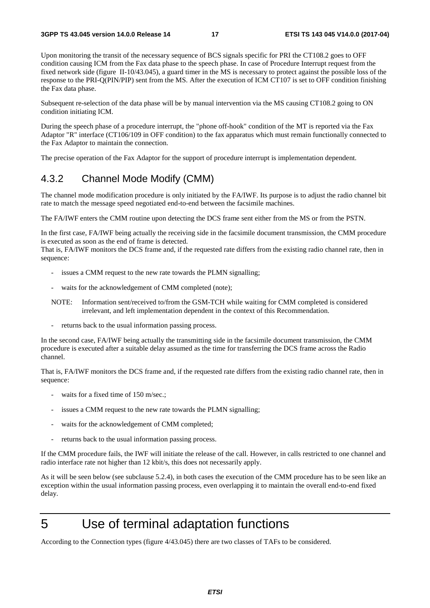Upon monitoring the transit of the necessary sequence of BCS signals specific for PRI the CT108.2 goes to OFF condition causing ICM from the Fax data phase to the speech phase. In case of Procedure Interrupt request from the fixed network side (figure II-10/43.045), a guard timer in the MS is necessary to protect against the possible loss of the response to the PRI-Q(PIN/PIP) sent from the MS. After the execution of ICM CT107 is set to OFF condition finishing the Fax data phase.

Subsequent re-selection of the data phase will be by manual intervention via the MS causing CT108.2 going to ON condition initiating ICM.

During the speech phase of a procedure interrupt, the "phone off-hook" condition of the MT is reported via the Fax Adaptor "R" interface (CT106/109 in OFF condition) to the fax apparatus which must remain functionally connected to the Fax Adaptor to maintain the connection.

The precise operation of the Fax Adaptor for the support of procedure interrupt is implementation dependent.

### 4.3.2 Channel Mode Modify (CMM)

The channel mode modification procedure is only initiated by the FA/IWF. Its purpose is to adjust the radio channel bit rate to match the message speed negotiated end-to-end between the facsimile machines.

The FA/IWF enters the CMM routine upon detecting the DCS frame sent either from the MS or from the PSTN.

In the first case, FA/IWF being actually the receiving side in the facsimile document transmission, the CMM procedure is executed as soon as the end of frame is detected.

That is, FA/IWF monitors the DCS frame and, if the requested rate differs from the existing radio channel rate, then in sequence:

- issues a CMM request to the new rate towards the PLMN signalling;
- waits for the acknowledgement of CMM completed (note);
- NOTE: Information sent/received to/from the GSM-TCH while waiting for CMM completed is considered irrelevant, and left implementation dependent in the context of this Recommendation.
- returns back to the usual information passing process.

In the second case, FA/IWF being actually the transmitting side in the facsimile document transmission, the CMM procedure is executed after a suitable delay assumed as the time for transferring the DCS frame across the Radio channel.

That is, FA/IWF monitors the DCS frame and, if the requested rate differs from the existing radio channel rate, then in sequence:

- waits for a fixed time of 150 m/sec.;
- issues a CMM request to the new rate towards the PLMN signalling;
- waits for the acknowledgement of CMM completed;
- returns back to the usual information passing process.

If the CMM procedure fails, the IWF will initiate the release of the call. However, in calls restricted to one channel and radio interface rate not higher than 12 kbit/s, this does not necessarily apply.

As it will be seen below (see subclause 5.2.4), in both cases the execution of the CMM procedure has to be seen like an exception within the usual information passing process, even overlapping it to maintain the overall end-to-end fixed delay.

## 5 Use of terminal adaptation functions

According to the Connection types (figure 4/43.045) there are two classes of TAFs to be considered.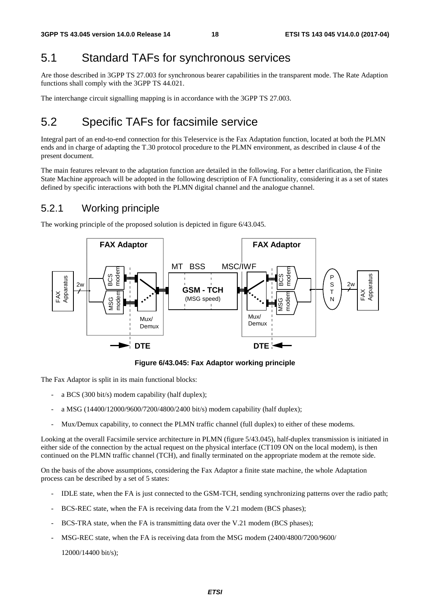## 5.1 Standard TAFs for synchronous services

Are those described in 3GPP TS 27.003 for synchronous bearer capabilities in the transparent mode. The Rate Adaption functions shall comply with the 3GPP TS 44.021.

The interchange circuit signalling mapping is in accordance with the 3GPP TS 27.003.

## 5.2 Specific TAFs for facsimile service

Integral part of an end-to-end connection for this Teleservice is the Fax Adaptation function, located at both the PLMN ends and in charge of adapting the T.30 protocol procedure to the PLMN environment, as described in clause 4 of the present document.

The main features relevant to the adaptation function are detailed in the following. For a better clarification, the Finite State Machine approach will be adopted in the following description of FA functionality, considering it as a set of states defined by specific interactions with both the PLMN digital channel and the analogue channel.

### 5.2.1 Working principle

The working principle of the proposed solution is depicted in figure 6/43.045.



**Figure 6/43.045: Fax Adaptor working principle** 

The Fax Adaptor is split in its main functional blocks:

- a BCS (300 bit/s) modem capability (half duplex);
- a MSG (14400/12000/9600/7200/4800/2400 bit/s) modem capability (half duplex);
- Mux/Demux capability, to connect the PLMN traffic channel (full duplex) to either of these modems.

Looking at the overall Facsimile service architecture in PLMN (figure 5/43.045), half-duplex transmission is initiated in either side of the connection by the actual request on the physical interface (CT109 ON on the local modem), is then continued on the PLMN traffic channel (TCH), and finally terminated on the appropriate modem at the remote side.

On the basis of the above assumptions, considering the Fax Adaptor a finite state machine, the whole Adaptation process can be described by a set of 5 states:

- IDLE state, when the FA is just connected to the GSM-TCH, sending synchronizing patterns over the radio path;
- BCS-REC state, when the FA is receiving data from the V.21 modem (BCS phases);
- BCS-TRA state, when the FA is transmitting data over the V.21 modem (BCS phases);
- MSG-REC state, when the FA is receiving data from the MSG modem (2400/4800/7200/9600/

12000/14400 bit/s);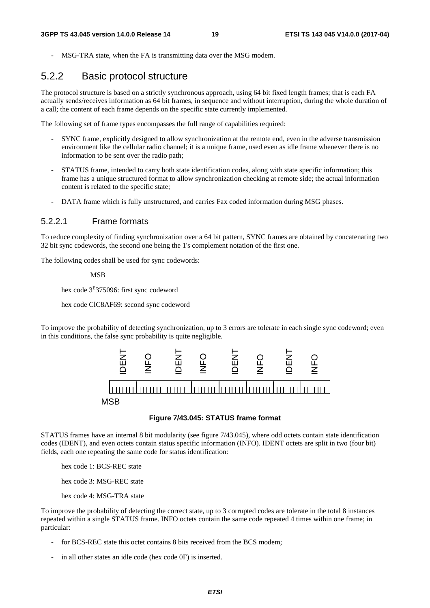MSG-TRA state, when the FA is transmitting data over the MSG modem.

### 5.2.2 Basic protocol structure

The protocol structure is based on a strictly synchronous approach, using 64 bit fixed length frames; that is each FA actually sends/receives information as 64 bit frames, in sequence and without interruption, during the whole duration of a call; the content of each frame depends on the specific state currently implemented.

The following set of frame types encompasses the full range of capabilities required:

- SYNC frame, explicitly designed to allow synchronization at the remote end, even in the adverse transmission environment like the cellular radio channel; it is a unique frame, used even as idle frame whenever there is no information to be sent over the radio path;
- STATUS frame, intended to carry both state identification codes, along with state specific information; this frame has a unique structured format to allow synchronization checking at remote side; the actual information content is related to the specific state;
- DATA frame which is fully unstructured, and carries Fax coded information during MSG phases.

#### 5.2.2.1 Frame formats

To reduce complexity of finding synchronization over a 64 bit pattern, SYNC frames are obtained by concatenating two 32 bit sync codewords, the second one being the 1's complement notation of the first one.

The following codes shall be used for sync codewords:

MSB

hex code 3E375096: first sync codeword

hex code ClC8AF69: second sync codeword

To improve the probability of detecting synchronization, up to 3 errors are tolerate in each single sync codeword; even in this conditions, the false sync probability is quite negligible.



#### **Figure 7/43.045: STATUS frame format**

STATUS frames have an internal 8 bit modularity (see figure 7/43.045), where odd octets contain state identification codes (IDENT), and even octets contain status specific information (INFO). IDENT octets are split in two (four bit) fields, each one repeating the same code for status identification:

hex code 1: BCS-REC state

hex code 3: MSG-REC state

hex code 4: MSG-TRA state

To improve the probability of detecting the correct state, up to 3 corrupted codes are tolerate in the total 8 instances repeated within a single STATUS frame. INFO octets contain the same code repeated 4 times within one frame; in particular:

- for BCS-REC state this octet contains 8 bits received from the BCS modem;
-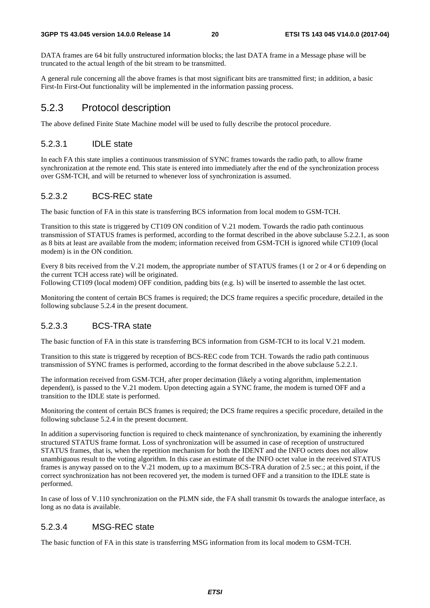DATA frames are 64 bit fully unstructured information blocks; the last DATA frame in a Message phase will be truncated to the actual length of the bit stream to be transmitted.

A general rule concerning all the above frames is that most significant bits are transmitted first; in addition, a basic First-In First-Out functionality will be implemented in the information passing process.

### 5.2.3 Protocol description

The above defined Finite State Machine model will be used to fully describe the protocol procedure.

#### 5.2.3.1 IDLE state

In each FA this state implies a continuous transmission of SYNC frames towards the radio path, to allow frame synchronization at the remote end. This state is entered into immediately after the end of the synchronization process over GSM-TCH, and will be returned to whenever loss of synchronization is assumed.

#### 5.2.3.2 BCS-REC state

The basic function of FA in this state is transferring BCS information from local modem to GSM-TCH.

Transition to this state is triggered by CT109 ON condition of V.21 modem. Towards the radio path continuous transmission of STATUS frames is performed, according to the format described in the above subclause 5.2.2.1, as soon as 8 bits at least are available from the modem; information received from GSM-TCH is ignored while CT109 (local modem) is in the ON condition.

Every 8 bits received from the V.21 modem, the appropriate number of STATUS frames (1 or 2 or 4 or 6 depending on the current TCH access rate) will be originated.

Following CT109 (local modem) OFF condition, padding bits (e.g. ls) will be inserted to assemble the last octet.

Monitoring the content of certain BCS frames is required; the DCS frame requires a specific procedure, detailed in the following subclause 5.2.4 in the present document.

#### 5.2.3.3 BCS-TRA state

The basic function of FA in this state is transferring BCS information from GSM-TCH to its local V.21 modem.

Transition to this state is triggered by reception of BCS-REC code from TCH. Towards the radio path continuous transmission of SYNC frames is performed, according to the format described in the above subclause 5.2.2.1.

The information received from GSM-TCH, after proper decimation (likely a voting algorithm, implementation dependent), is passed to the V.21 modem. Upon detecting again a SYNC frame, the modem is turned OFF and a transition to the IDLE state is performed.

Monitoring the content of certain BCS frames is required; the DCS frame requires a specific procedure, detailed in the following subclause 5.2.4 in the present document.

In addition a supervisoring function is required to check maintenance of synchronization, by examining the inherently structured STATUS frame format. Loss of synchronization will be assumed in case of reception of unstructured STATUS frames, that is, when the repetition mechanism for both the IDENT and the INFO octets does not allow unambiguous result to the voting algorithm. In this case an estimate of the INFO octet value in the received STATUS frames is anyway passed on to the V.21 modem, up to a maximum BCS-TRA duration of 2.5 sec.; at this point, if the correct synchronization has not been recovered yet, the modem is turned OFF and a transition to the IDLE state is performed.

In case of loss of V.110 synchronization on the PLMN side, the FA shall transmit 0s towards the analogue interface, as long as no data is available.

#### 5.2.3.4 MSG-REC state

The basic function of FA in this state is transferring MSG information from its local modem to GSM-TCH.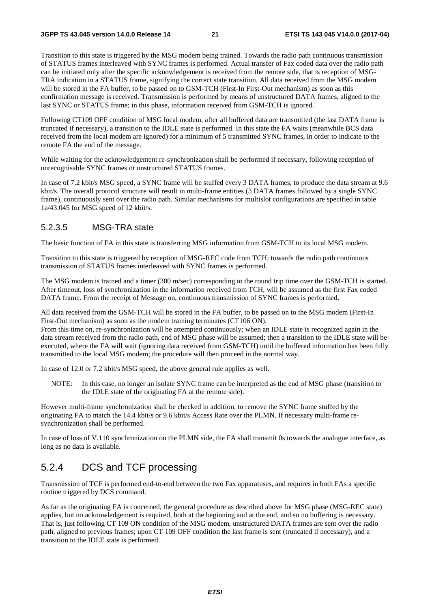Transition to this state is triggered by the MSG modem being trained. Towards the radio path continuous transmission of STATUS frames interleaved with SYNC frames is performed. Actual transfer of Fax coded data over the radio path can be initiated only after the specific acknowledgement is received from the remote side, that is reception of MSG-TRA indication in a STATUS frame, signifying the correct state transition. All data received from the MSG modem will be stored in the FA buffer, to be passed on to GSM-TCH (First-In First-Out mechanism) as soon as this confirmation message is received. Transmission is performed by means of unstructured DATA frames, aligned to the last SYNC or STATUS frame; in this phase, information received from GSM-TCH is ignored.

Following CT109 OFF condition of MSG local modem, after all buffered data are transmitted (the last DATA frame is truncated if necessary), a transition to the IDLE state is performed. In this state the FA waits (meanwhile BCS data received from the local modem are ignored) for a minimum of 5 transmitted SYNC frames, in order to indicate to the remote FA the end of the message.

While waiting for the acknowledgement re-synchronization shall be performed if necessary, following reception of unrecognisable SYNC frames or unstructured STATUS frames.

In case of 7.2 kbit/s MSG speed, a SYNC frame will be stuffed every 3 DATA frames, to produce the data stream at 9.6 kbit/s. The overall protocol structure will result in multi-frame entities (3 DATA frames followed by a single SYNC frame), continuously sent over the radio path. Similar mechanisms for multislot configurations are specified in table 1a/43.045 for MSG speed of 12 kbit/s.

#### 5.2.3.5 MSG-TRA state

The basic function of FA in this state is transferring MSG information from GSM-TCH to its local MSG modem.

Transition to this state is triggered by reception of MSG-REC code from TCH; towards the radio path continuous transmission of STATUS frames interleaved with SYNC frames is performed.

The MSG modem is trained and a timer (300 m/sec) corresponding to the round trip time over the GSM-TCH is started. After timeout, loss of synchronization in the information received from TCH, will be assumed as the first Fax coded DATA frame. From the receipt of Message on, continuous transmission of SYNC frames is performed.

All data received from the GSM-TCH will be stored in the FA buffer, to be passed on to the MSG modem (First-In First-Out mechanism) as soon as the modem training terminates (CT106 ON).

From this time on, re-synchronization will be attempted continuously; when an IDLE state is recognized again in the data stream received from the radio path, end of MSG phase will be assumed; then a transition to the IDLE state will be executed, where the FA will wait (ignoring data received from GSM-TCH) until the buffered information has been fully transmitted to the local MSG modem; the procedure will then proceed in the normal way.

In case of 12.0 or 7.2 kbit/s MSG speed, the above general rule applies as well.

NOTE: In this case, no longer an isolate SYNC frame can be interpreted as the end of MSG phase (transition to the IDLE state of the originating FA at the remote side).

However multi-frame synchronization shall be checked in addition, to remove the SYNC frame stuffed by the originating FA to match the 14.4 kbit/s or 9.6 kbit/s Access Rate over the PLMN. If necessary multi-frame resynchronization shall be performed.

In case of loss of V.110 synchronization on the PLMN side, the FA shall transmit 0s towards the analogue interface, as long as no data is available.

### 5.2.4 DCS and TCF processing

Transmission of TCF is performed end-to-end between the two Fax apparatuses, and requires in both FAs a specific routine triggered by DCS command.

As far as the originating FA is concerned, the general procedure as described above for MSG phase (MSG-REC state) applies, but no acknowledgement is required, both at the beginning and at the end, and so no buffering is necessary. That is, just following CT 109 ON condition of the MSG modem, unstructured DATA frames are sent over the radio path, aligned to previous frames; upon CT 109 OFF condition the last frame is sent (truncated if necessary), and a transition to the IDLE state is performed.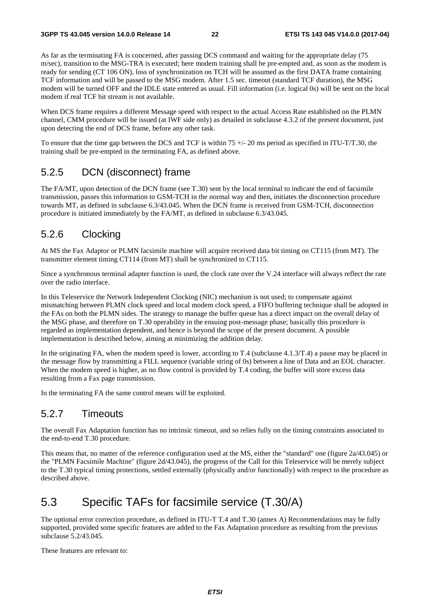As far as the terminating FA is concerned, after passing DCS command and waiting for the appropriate delay (75 m/sec), transition to the MSG-TRA is executed; here modem training shall be pre-empted and, as soon as the modem is ready for sending (CT 106 ON), loss of synchronization on TCH will be assumed as the first DATA frame containing TCF information and will be passed to the MSG modem. After 1.5 sec. timeout (standard TCF duration), the MSG modem will be turned OFF and the IDLE state entered as usual. Fill information (i.e. logical 0s) will be sent on the local modem if real TCF bit stream is not available.

When DCS frame requires a different Message speed with respect to the actual Access Rate established on the PLMN channel, CMM procedure will be issued (at IWF side only) as detailed in subclause 4.3.2 of the present document, just upon detecting the end of DCS frame, before any other task.

To ensure that the time gap between the DCS and TCF is within  $75 +/20$  ms period as specified in ITU-T/T.30, the training shall be pre-empted in the terminating FA, as defined above.

### 5.2.5 DCN (disconnect) frame

The FA/MT, upon detection of the DCN frame (see T.30) sent by the local terminal to indicate the end of facsimile transmission, passes this information to GSM-TCH in the normal way and then, initiates the disconnection procedure towards MT, as defined in subclause 6.3/43.045. When the DCN frame is received from GSM-TCH, disconnection procedure is initiated immediately by the FA/MT, as defined in subclause 6.3/43.045.

### 5.2.6 Clocking

At MS the Fax Adaptor or PLMN facsimile machine will acquire received data bit timing on CT115 (from MT). The transmitter element timing CT114 (from MT) shall be synchronized to CT115.

Since a synchronous terminal adapter function is used, the clock rate over the V.24 interface will always reflect the rate over the radio interface.

In this Teleservice the Network Independent Clocking (NIC) mechanism is not used; to compensate against mismatching between PLMN clock speed and local modem clock speed, a FIFO buffering technique shall be adopted in the FAs on both the PLMN sides. The strategy to manage the buffer queue has a direct impact on the overall delay of the MSG phase, and therefore on T.30 operability in the ensuing post-message phase; basically this procedure is regarded as implementation dependent, and hence is beyond the scope of the present document. A possible implementation is described below, aiming at minimizing the addition delay.

In the originating FA, when the modem speed is lower, according to T.4 (subclause 4.1.3/T.4) a pause may be placed in the message flow by transmitting a FILL sequence (variable string of 0s) between a line of Data and an EOL character. When the modem speed is higher, as no flow control is provided by T.4 coding, the buffer will store excess data resulting from a Fax page transmission.

In the terminating FA the same control means will be exploited.

#### 5.2.7 Timeouts

The overall Fax Adaptation function has no intrinsic timeout, and so relies fully on the timing constraints associated to the end-to-end T.30 procedure.

This means that, no matter of the reference configuration used at the MS, either the "standard" one (figure 2a/43.045) or the "PLMN Facsimile Machine" (figure 2d/43.045), the progress of the Call for this Teleservice will be merely subject to the T.30 typical timing protections, settled externally (physically and/or functionally) with respect to the procedure as described above.

## 5.3 Specific TAFs for facsimile service (T.30/A)

The optional error correction procedure, as defined in ITU-T T.4 and T.30 (annex A) Recommendations may be fully supported, provided some specific features are added to the Fax Adaptation procedure as resulting from the previous subclause 5.2/43.045.

These features are relevant to: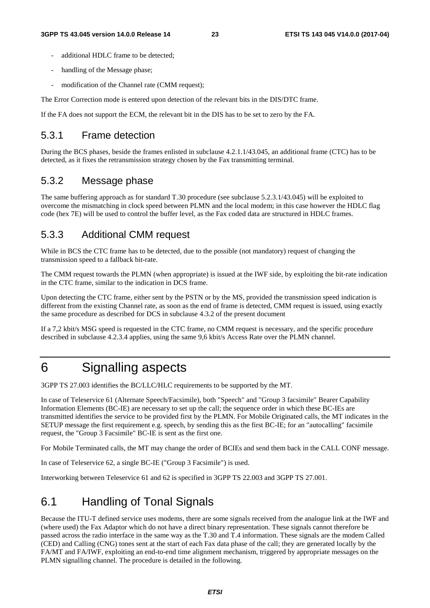- additional HDLC frame to be detected:
- handling of the Message phase;
- modification of the Channel rate (CMM request);

The Error Correction mode is entered upon detection of the relevant bits in the DIS/DTC frame.

If the FA does not support the ECM, the relevant bit in the DIS has to be set to zero by the FA.

#### 5.3.1 Frame detection

During the BCS phases, beside the frames enlisted in subclause 4.2.1.1/43.045, an additional frame (CTC) has to be detected, as it fixes the retransmission strategy chosen by the Fax transmitting terminal.

#### 5.3.2 Message phase

The same buffering approach as for standard T.30 procedure (see subclause 5.2.3.1/43.045) will be exploited to overcome the mismatching in clock speed between PLMN and the local modem; in this case however the HDLC flag code (hex 7E) will be used to control the buffer level, as the Fax coded data are structured in HDLC frames.

### 5.3.3 Additional CMM request

While in BCS the CTC frame has to be detected, due to the possible (not mandatory) request of changing the transmission speed to a fallback bit-rate.

The CMM request towards the PLMN (when appropriate) is issued at the IWF side, by exploiting the bit-rate indication in the CTC frame, similar to the indication in DCS frame.

Upon detecting the CTC frame, either sent by the PSTN or by the MS, provided the transmission speed indication is different from the existing Channel rate, as soon as the end of frame is detected, CMM request is issued, using exactly the same procedure as described for DCS in subclause 4.3.2 of the present document

If a 7,2 kbit/s MSG speed is requested in the CTC frame, no CMM request is necessary, and the specific procedure described in subclause 4.2.3.4 applies, using the same 9,6 kbit/s Access Rate over the PLMN channel.

## 6 Signalling aspects

3GPP TS 27.003 identifies the BC/LLC/HLC requirements to be supported by the MT.

In case of Teleservice 61 (Alternate Speech/Facsimile), both "Speech" and "Group 3 facsimile" Bearer Capability Information Elements (BC-IE) are necessary to set up the call; the sequence order in which these BC-IEs are transmitted identifies the service to be provided first by the PLMN. For Mobile Originated calls, the MT indicates in the SETUP message the first requirement e.g. speech, by sending this as the first BC-IE; for an "autocalling" facsimile request, the "Group 3 Facsimile" BC-IE is sent as the first one.

For Mobile Terminated calls, the MT may change the order of BCIEs and send them back in the CALL CONF message.

In case of Teleservice 62, a single BC-IE ("Group 3 Facsimile") is used.

Interworking between Teleservice 61 and 62 is specified in 3GPP TS 22.003 and 3GPP TS 27.001.

## 6.1 Handling of Tonal Signals

Because the ITU-T defined service uses modems, there are some signals received from the analogue link at the IWF and (where used) the Fax Adaptor which do not have a direct binary representation. These signals cannot therefore be passed across the radio interface in the same way as the T.30 and T.4 information. These signals are the modem Called (CED) and Calling (CNG) tones sent at the start of each Fax data phase of the call; they are generated locally by the FA/MT and FA/IWF, exploiting an end-to-end time alignment mechanism, triggered by appropriate messages on the PLMN signalling channel. The procedure is detailed in the following.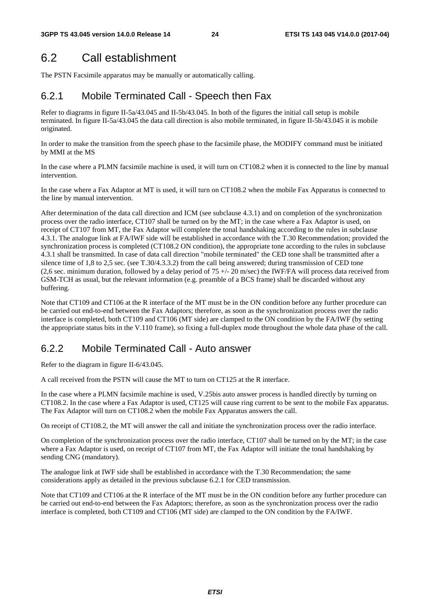## 6.2 Call establishment

The PSTN Facsimile apparatus may be manually or automatically calling.

### 6.2.1 Mobile Terminated Call - Speech then Fax

Refer to diagrams in figure II-5a/43.045 and II-5b/43.045. In both of the figures the initial call setup is mobile terminated. In figure II-5a/43.045 the data call direction is also mobile terminated, in figure II-5b/43.045 it is mobile originated.

In order to make the transition from the speech phase to the facsimile phase, the MODIFY command must be initiated by MMI at the MS

In the case where a PLMN facsimile machine is used, it will turn on CT108.2 when it is connected to the line by manual intervention.

In the case where a Fax Adaptor at MT is used, it will turn on CT108.2 when the mobile Fax Apparatus is connected to the line by manual intervention.

After determination of the data call direction and ICM (see subclause 4.3.1) and on completion of the synchronization process over the radio interface, CT107 shall be turned on by the MT; in the case where a Fax Adaptor is used, on receipt of CT107 from MT, the Fax Adaptor will complete the tonal handshaking according to the rules in subclause 4.3.1. The analogue link at FA/IWF side will be established in accordance with the T.30 Recommendation; provided the synchronization process is completed (CT108.2 ON condition), the appropriate tone according to the rules in subclause 4.3.1 shall be transmitted. In case of data call direction "mobile terminated" the CED tone shall be transmitted after a silence time of 1,8 to 2,5 sec. (see T.30/4.3.3.2) from the call being answered; during transmission of CED tone (2,6 sec. minimum duration, followed by a delay period of  $75 +/- 20$  m/sec) the IWF/FA will process data received from GSM-TCH as usual, but the relevant information (e.g. preamble of a BCS frame) shall be discarded without any buffering.

Note that CT109 and CT106 at the R interface of the MT must be in the ON condition before any further procedure can be carried out end-to-end between the Fax Adaptors; therefore, as soon as the synchronization process over the radio interface is completed, both CT109 and CT106 (MT side) are clamped to the ON condition by the FA/IWF (by setting the appropriate status bits in the V.110 frame), so fixing a full-duplex mode throughout the whole data phase of the call.

### 6.2.2 Mobile Terminated Call - Auto answer

Refer to the diagram in figure II-6/43.045.

A call received from the PSTN will cause the MT to turn on CT125 at the R interface.

In the case where a PLMN facsimile machine is used, V.25bis auto answer process is handled directly by turning on CT108.2. In the case where a Fax Adaptor is used, CT125 will cause ring current to be sent to the mobile Fax apparatus. The Fax Adaptor will turn on CT108.2 when the mobile Fax Apparatus answers the call.

On receipt of CT108.2, the MT will answer the call and initiate the synchronization process over the radio interface.

On completion of the synchronization process over the radio interface, CT107 shall be turned on by the MT; in the case where a Fax Adaptor is used, on receipt of CT107 from MT, the Fax Adaptor will initiate the tonal handshaking by sending CNG (mandatory).

The analogue link at IWF side shall be established in accordance with the T.30 Recommendation; the same considerations apply as detailed in the previous subclause 6.2.1 for CED transmission.

Note that CT109 and CT106 at the R interface of the MT must be in the ON condition before any further procedure can be carried out end-to-end between the Fax Adaptors; therefore, as soon as the synchronization process over the radio interface is completed, both CT109 and CT106 (MT side) are clamped to the ON condition by the FA/IWF.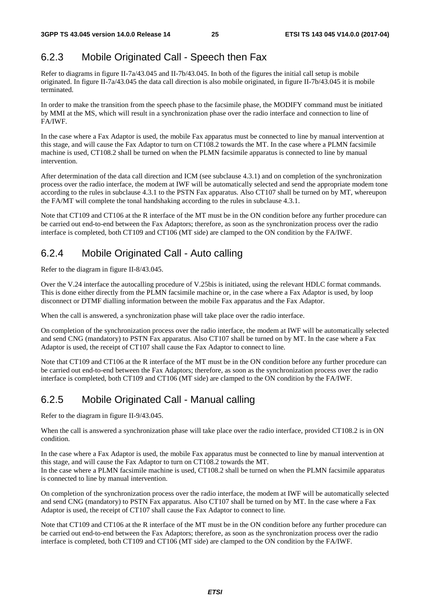## 6.2.3 Mobile Originated Call - Speech then Fax

Refer to diagrams in figure II-7a/43.045 and II-7b/43.045. In both of the figures the initial call setup is mobile originated. In figure II-7a/43.045 the data call direction is also mobile originated, in figure II-7b/43.045 it is mobile terminated.

In order to make the transition from the speech phase to the facsimile phase, the MODIFY command must be initiated by MMI at the MS, which will result in a synchronization phase over the radio interface and connection to line of FA/IWF.

In the case where a Fax Adaptor is used, the mobile Fax apparatus must be connected to line by manual intervention at this stage, and will cause the Fax Adaptor to turn on CT108.2 towards the MT. In the case where a PLMN facsimile machine is used, CT108.2 shall be turned on when the PLMN facsimile apparatus is connected to line by manual intervention.

After determination of the data call direction and ICM (see subclause 4.3.1) and on completion of the synchronization process over the radio interface, the modem at IWF will be automatically selected and send the appropriate modem tone according to the rules in subclause 4.3.1 to the PSTN Fax apparatus. Also CT107 shall be turned on by MT, whereupon the FA/MT will complete the tonal handshaking according to the rules in subclause 4.3.1.

Note that CT109 and CT106 at the R interface of the MT must be in the ON condition before any further procedure can be carried out end-to-end between the Fax Adaptors; therefore, as soon as the synchronization process over the radio interface is completed, both CT109 and CT106 (MT side) are clamped to the ON condition by the FA/IWF.

### 6.2.4 Mobile Originated Call - Auto calling

Refer to the diagram in figure II-8/43.045.

Over the V.24 interface the autocalling procedure of V.25bis is initiated, using the relevant HDLC format commands. This is done either directly from the PLMN facsimile machine or, in the case where a Fax Adaptor is used, by loop disconnect or DTMF dialling information between the mobile Fax apparatus and the Fax Adaptor.

When the call is answered, a synchronization phase will take place over the radio interface.

On completion of the synchronization process over the radio interface, the modem at IWF will be automatically selected and send CNG (mandatory) to PSTN Fax apparatus. Also CT107 shall be turned on by MT. In the case where a Fax Adaptor is used, the receipt of CT107 shall cause the Fax Adaptor to connect to line.

Note that CT109 and CT106 at the R interface of the MT must be in the ON condition before any further procedure can be carried out end-to-end between the Fax Adaptors; therefore, as soon as the synchronization process over the radio interface is completed, both CT109 and CT106 (MT side) are clamped to the ON condition by the FA/IWF.

### 6.2.5 Mobile Originated Call - Manual calling

Refer to the diagram in figure II-9/43.045.

When the call is answered a synchronization phase will take place over the radio interface, provided CT108.2 is in ON condition.

In the case where a Fax Adaptor is used, the mobile Fax apparatus must be connected to line by manual intervention at this stage, and will cause the Fax Adaptor to turn on CT108.2 towards the MT.

In the case where a PLMN facsimile machine is used, CT108.2 shall be turned on when the PLMN facsimile apparatus is connected to line by manual intervention.

On completion of the synchronization process over the radio interface, the modem at IWF will be automatically selected and send CNG (mandatory) to PSTN Fax apparatus. Also CT107 shall be turned on by MT. In the case where a Fax Adaptor is used, the receipt of CT107 shall cause the Fax Adaptor to connect to line.

Note that CT109 and CT106 at the R interface of the MT must be in the ON condition before any further procedure can be carried out end-to-end between the Fax Adaptors; therefore, as soon as the synchronization process over the radio interface is completed, both CT109 and CT106 (MT side) are clamped to the ON condition by the FA/IWF.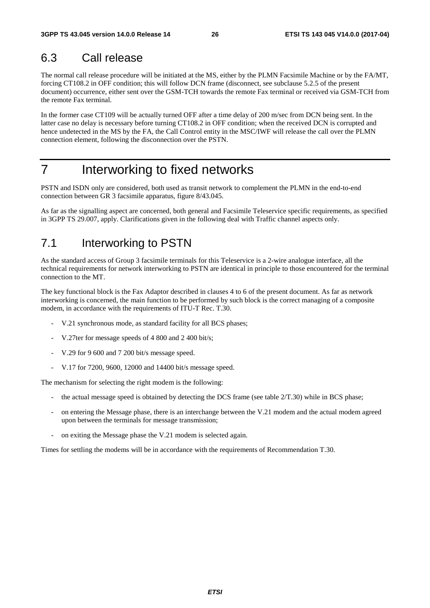## 6.3 Call release

The normal call release procedure will be initiated at the MS, either by the PLMN Facsimile Machine or by the FA/MT, forcing CT108.2 in OFF condition; this will follow DCN frame (disconnect, see subclause 5.2.5 of the present document) occurrence, either sent over the GSM-TCH towards the remote Fax terminal or received via GSM-TCH from the remote Fax terminal.

In the former case CT109 will be actually turned OFF after a time delay of 200 m/sec from DCN being sent. In the latter case no delay is necessary before turning CT108.2 in OFF condition; when the received DCN is corrupted and hence undetected in the MS by the FA, the Call Control entity in the MSC/IWF will release the call over the PLMN connection element, following the disconnection over the PSTN.

## 7 Interworking to fixed networks

PSTN and ISDN only are considered, both used as transit network to complement the PLMN in the end-to-end connection between GR 3 facsimile apparatus, figure 8/43.045.

As far as the signalling aspect are concerned, both general and Facsimile Teleservice specific requirements, as specified in 3GPP TS 29.007, apply. Clarifications given in the following deal with Traffic channel aspects only.

## 7.1 Interworking to PSTN

As the standard access of Group 3 facsimile terminals for this Teleservice is a 2-wire analogue interface, all the technical requirements for network interworking to PSTN are identical in principle to those encountered for the terminal connection to the MT.

The key functional block is the Fax Adaptor described in clauses 4 to 6 of the present document. As far as network interworking is concerned, the main function to be performed by such block is the correct managing of a composite modem, in accordance with the requirements of ITU-T Rec. T.30.

- V.21 synchronous mode, as standard facility for all BCS phases;
- V.27ter for message speeds of 4 800 and 2 400 bit/s;
- V.29 for 9 600 and 7 200 bit/s message speed.
- V.17 for 7200, 9600, 12000 and 14400 bit/s message speed.

The mechanism for selecting the right modem is the following:

- the actual message speed is obtained by detecting the DCS frame (see table  $2/T.30$ ) while in BCS phase;
- on entering the Message phase, there is an interchange between the V.21 modem and the actual modem agreed upon between the terminals for message transmission;
- on exiting the Message phase the V.21 modem is selected again.

Times for settling the modems will be in accordance with the requirements of Recommendation T.30.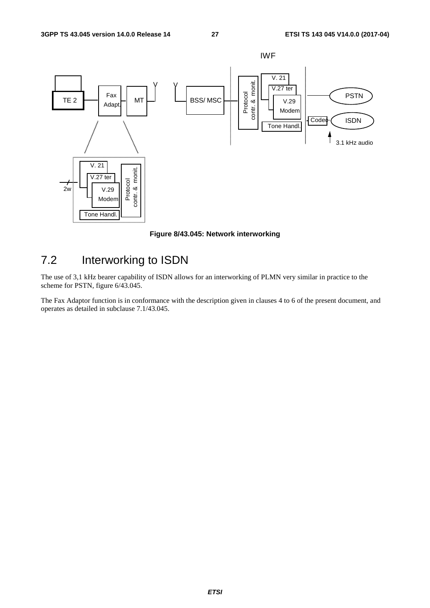

**Figure 8/43.045: Network interworking** 

## 7.2 Interworking to ISDN

The use of 3,1 kHz bearer capability of ISDN allows for an interworking of PLMN very similar in practice to the scheme for PSTN, figure 6/43.045.

The Fax Adaptor function is in conformance with the description given in clauses 4 to 6 of the present document, and operates as detailed in subclause 7.1/43.045.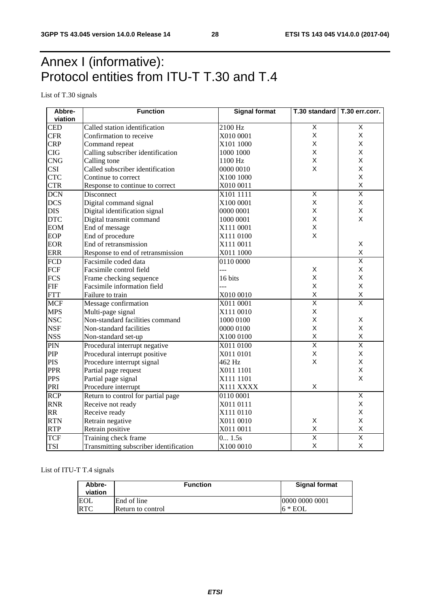## Annex I (informative): Protocol entities from ITU-T T.30 and T.4

List of T.30 signals

| Abbre-     | <b>Function</b>                        | <b>Signal format</b> | T.30 standard   T.30 err.corr. |                         |  |
|------------|----------------------------------------|----------------------|--------------------------------|-------------------------|--|
| viation    |                                        |                      |                                |                         |  |
| <b>CED</b> | Called station identification          | 2100 Hz              | $\mathsf X$                    | X                       |  |
| <b>CFR</b> | Confirmation to receive                | X010 0001            | $\mathsf X$                    | X                       |  |
| <b>CRP</b> | Command repeat                         | X101 1000            | X                              | X                       |  |
| CIG        | Calling subscriber identification      | 1000 1000            | X                              | X                       |  |
| <b>CNG</b> | Calling tone                           | 1100 Hz              | $\mathsf X$                    | X                       |  |
| <b>CSI</b> | Called subscriber identification       | 0000 0010            | X                              | X                       |  |
| <b>CTC</b> | Continue to correct                    | X100 1000            |                                | X                       |  |
| <b>CTR</b> | Response to continue to correct        | X010 0011            |                                | $\sf X$                 |  |
| <b>DCN</b> | Disconnect                             | X101 1111            | $\overline{X}$                 | $\overline{\mathsf{x}}$ |  |
| <b>DCS</b> | Digital command signal                 | X100 0001            | X                              | Χ                       |  |
| <b>DIS</b> | Digital identification signal          | 0000 0001            | X                              | Χ                       |  |
| <b>DTC</b> | Digital transmit command               | 1000 0001            | $\mathsf X$                    | X                       |  |
| <b>EOM</b> | End of message                         | X111 0001            | X                              |                         |  |
| <b>EOP</b> | End of procedure                       | X111 0100            | X                              |                         |  |
| <b>EOR</b> | End of retransmission                  | X111 0011            |                                | X                       |  |
| <b>ERR</b> | Response to end of retransmission      | X011 1000            |                                | X                       |  |
| <b>FCD</b> | Facsimile coded data                   | 0110 0000            |                                | $\overline{\mathsf{x}}$ |  |
| FCF        | Facsimile control field                | ---                  | $\mathsf X$                    | X                       |  |
| <b>FCS</b> | Frame checking sequence                | 16 bits              | $\mathsf X$                    | X                       |  |
| <b>FIF</b> | Facsimile information field            |                      | $\mathsf X$                    | X                       |  |
| <b>FTT</b> | Failure to train                       | X010 0010            | $\mathsf X$                    | X                       |  |
| <b>MCF</b> | Message confirmation                   | X011 0001            | $\overline{\mathsf{x}}$        | $\overline{\mathsf{x}}$ |  |
| <b>MPS</b> | Multi-page signal                      | X111 0010            | $\mathsf X$                    |                         |  |
| <b>NSC</b> | Non-standard facilities command        | 1000 0100            | $\sf X$                        | X                       |  |
| <b>NSF</b> | Non-standard facilities                | 0000 0100            | X                              | X                       |  |
| <b>NSS</b> | Non-standard set-up                    | X100 0100            | $\sf X$                        | X                       |  |
| PIN        | Procedural interrupt negative          | X011 0100            | $\overline{\mathsf{x}}$        | $\overline{\mathsf{x}}$ |  |
| PIP        | Procedural interrupt positive          | X011 0101            | $\sf X$                        | X                       |  |
| <b>PIS</b> | Procedure interrupt signal             | 462 Hz               | X                              | X                       |  |
| <b>PPR</b> | Partial page request                   | X011 1101            |                                | X                       |  |
| <b>PPS</b> | Partial page signal                    | X111 1101            |                                | X                       |  |
| PRI        | Procedure interrupt                    | X111 XXXX            | $\sf X$                        |                         |  |
| <b>RCP</b> | Return to control for partial page     | 0110 0001            |                                | $\overline{\mathsf{X}}$ |  |
| <b>RNR</b> | Receive not ready                      | X011 0111            |                                | Χ                       |  |
| <b>RR</b>  | Receive ready                          | X111 0110            |                                | X                       |  |
| <b>RTN</b> | Retrain negative                       | X011 0010            | $\mathsf X$                    | X                       |  |
| <b>RTP</b> | Retrain positive                       | X011 0011            | $\mathsf X$                    | $\pmb{\mathsf{X}}$      |  |
| <b>TCF</b> | Training check frame                   | 0 1.5s               | $\overline{\mathsf{x}}$        | $\overline{\mathsf{x}}$ |  |
| <b>TSI</b> | Transmitting subscriber identification | X100 0010            | $\sf X$                        | X                       |  |

List of ITU-T T.4 signals

| Abbre-<br>viation | <b>Function</b>   | <b>Signal format</b> |  |  |  |
|-------------------|-------------------|----------------------|--|--|--|
| EOL               | End of line       | 0000 0000 0001       |  |  |  |
| <b>RTC</b>        | Return to control | $16 * EOL$           |  |  |  |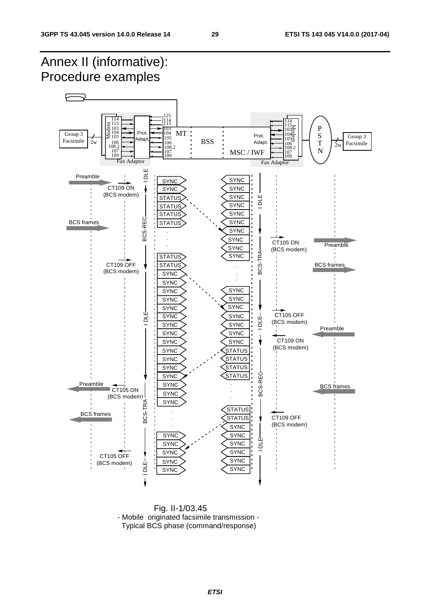#### Annex II (informative): Procedure examples F 115 114 125 115 114 114  $\frac{115}{9}$ <br> $\frac{103}{2}$ <br> $\geq 104$ <br> $\geq 105$ 115 103<br>104  $\frac{1135}{1040}$ P 103 104 103 104 Prot. MT Group 3 S Group 3  $\text{Adapt.}$  Prot. 105 **BSS** Facsimile  $2w$  |  $106$   $106$   $106$   $108$   $108$   $108$   $108$   $100$   $100$   $100$   $100$   $100$   $100$   $100$   $100$   $100$ 108.2 106 T Facsimile 108.2 106 108.2 106  $2w$ N 107 109 MSC / IWF 107 109 107 109  $Fax$  Adaptor **Fax Adaptor** Preamble  $\overline{a}$  $\frac{1}{\sqrt{2}}$   $\frac{1}{\sqrt{2}}$ CT109 ON **SYNC SYNC** (BCS modem) IDLE-SYNC **STATUS** BCS-TRA-I DLE **SYNC STATUS** SYNC **STATUS** BCS-REC BCS-REC BCS frames **STATUS SYNC SYNC** . . **SYNC** CT105 ON . Preamble SYNC (BCS modem) BCS-TRA-**SYNC STATUS** CT109 OFF BCS frames **STATUS** . (BCS modem) **SYNC** . . **SYNC SYNC SYNC SYNC SYNC SYNC** SYNC ய் CT105 OFF I DLE I DLE I DLE I DLE I DLE I DLE I DLE I DLE I DLE I DLE I DLE I DLE I DLE I DLE I DLE I DLE I DLE I DLE I **SYNC SYNC** Щ ă I DLE I NH DLE I DLE (BCS modem) ᆷ **SYNC SYNC** Preamble **SYNC** SYNC CT109 ON SYNC SYNC (BCS modem) **SYNC STATUS SYNC STATUS STATUS SYNC STATUS** BCS-REG BCS-REC **SYNC** Preamble **SYNC** . BCS frames CT<sub>105</sub> ON . **SYNC**  $(BCS \text{ modem})$ <br> $\begin{array}{c} 1 \ 1 \ 1 \ \text{pc} \\ 2 \end{array}$ <br> $\begin{array}{c} 1 \ 1 \ \text{pc} \\ 2 \end{array}$ . **SYNC**  BCS-TRA **STATUS** . BCS frames CT109 OFF **STATUS** . (BCS modem) . **SYNC SYNC SYNC** Щ **SYNC** SYNC ă **SYNC SYNC** CT105 OFF **SYNC SYNC** (BCS modem)  $10LE-$ **SYNC SYNC**

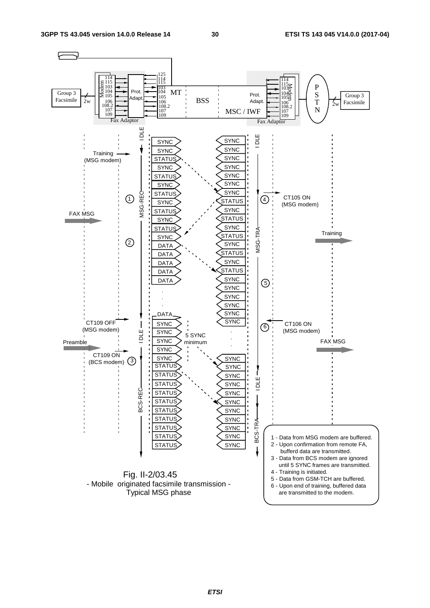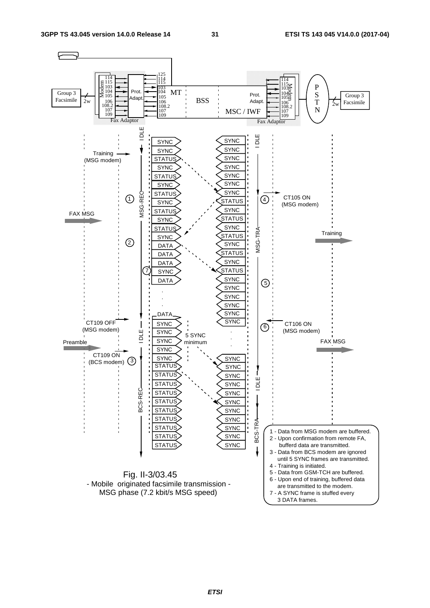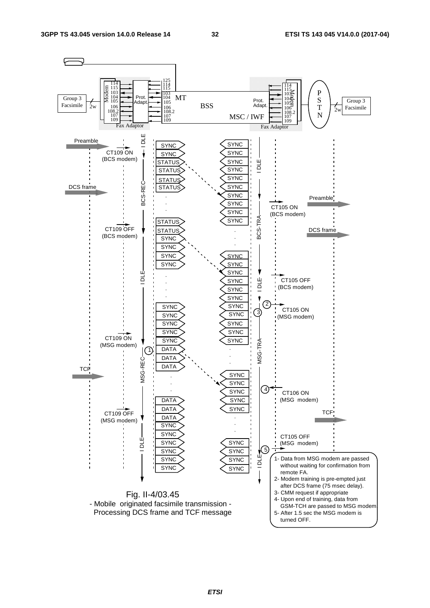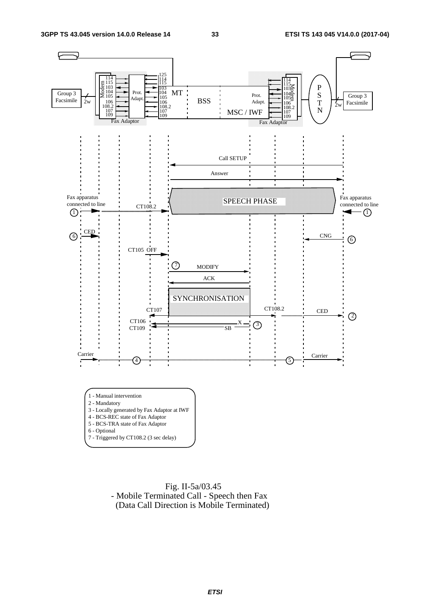

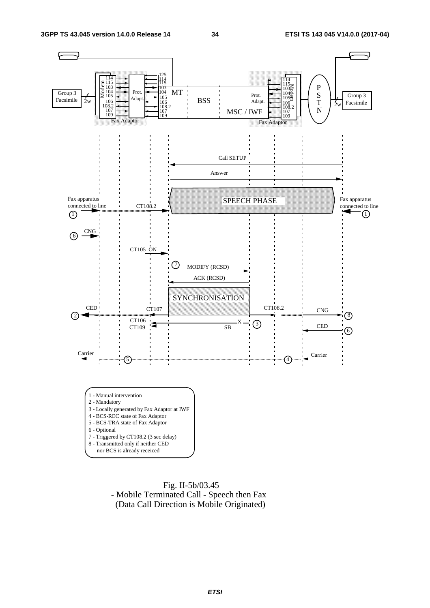

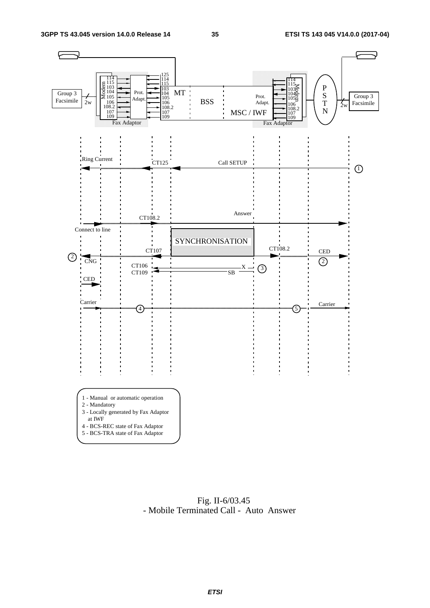

 Fig. II-6/03.45 - Mobile Terminated Call - Auto Answer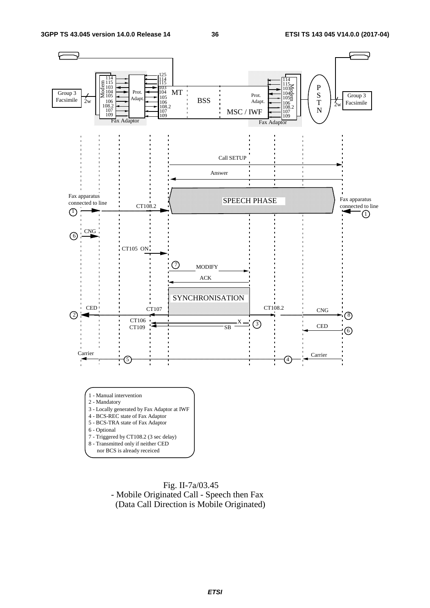

 Fig. II-7a/03.45 - Mobile Originated Call - Speech then Fax (Data Call Direction is Mobile Originated)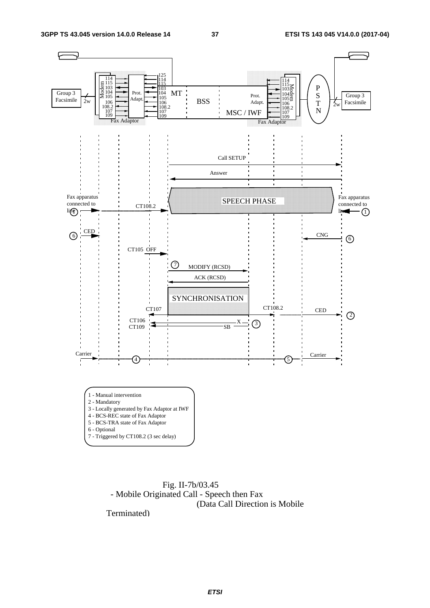

 Fig. II-7b/03.45 - Mobile Originated Call - Speech then Fax (Data Call Direction is Mobile

Terminated)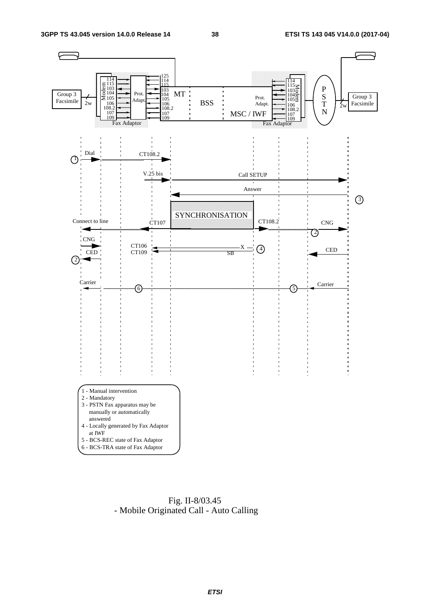

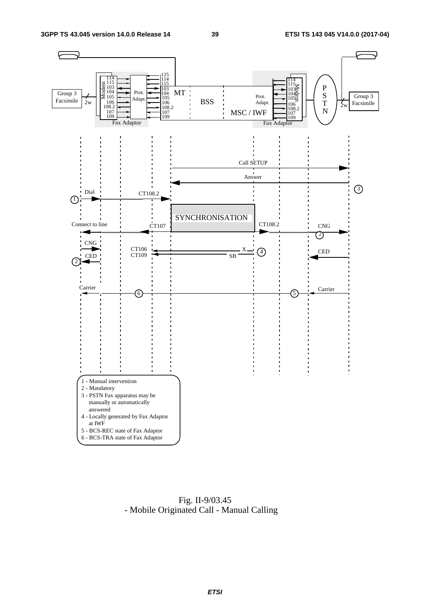

 Fig. II-9/03.45 - Mobile Originated Call - Manual Calling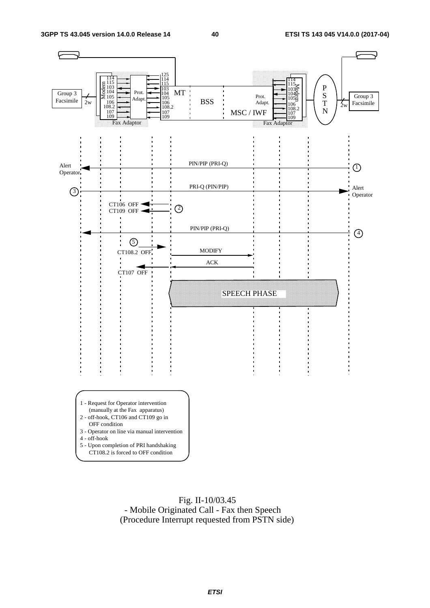

 Fig. II-10/03.45 - Mobile Originated Call - Fax then Speech (Procedure Interrupt requested from PSTN side)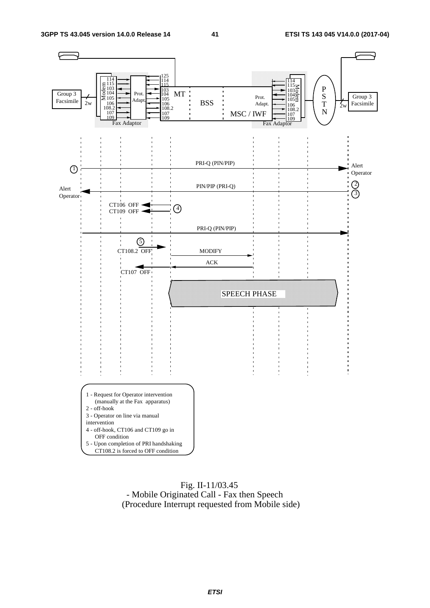

#### Fig. II-11/03.45 - Mobile Originated Call - Fax then Speech (Procedure Interrupt requested from Mobile side)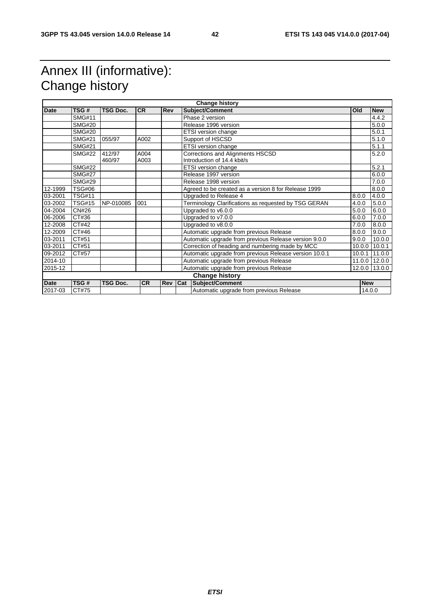## Annex III (informative): Change history

| <b>Change history</b> |               |                 |           |            |                                                        |                                                      |            |            |
|-----------------------|---------------|-----------------|-----------|------------|--------------------------------------------------------|------------------------------------------------------|------------|------------|
| <b>Date</b>           | TSG#          | <b>TSG Doc.</b> | <b>CR</b> | <b>Rev</b> |                                                        | <b>Subject/Comment</b>                               | Old        | <b>New</b> |
|                       | <b>SMG#11</b> |                 |           |            |                                                        | Phase 2 version                                      |            | 4.4.2      |
|                       | <b>SMG#20</b> |                 |           |            | Release 1996 version                                   |                                                      |            | 5.0.0      |
|                       | <b>SMG#20</b> |                 |           |            |                                                        | <b>ETSI</b> version change                           |            | 5.0.1      |
|                       | <b>SMG#21</b> | 055/97          | A002      |            |                                                        | Support of HSCSD                                     |            | 5.1.0      |
|                       | <b>SMG#21</b> |                 |           |            |                                                        | ETSI version change                                  |            | 5.1.1      |
|                       | <b>SMG#22</b> | 412/97          | A004      |            |                                                        | Corrections and Alignments HSCSD                     |            | 5.2.0      |
|                       |               | 460/97          | A003      |            |                                                        | Introduction of 14.4 kbit/s                          |            |            |
|                       | <b>SMG#22</b> |                 |           |            |                                                        | ETSI version change                                  |            | 5.2.1      |
|                       | <b>SMG#27</b> |                 |           |            |                                                        | Release 1997 version                                 |            | 6.0.0      |
|                       | <b>SMG#29</b> |                 |           |            |                                                        | Release 1998 version                                 |            | 7.0.0      |
| 12-1999               | <b>TSG#06</b> |                 |           |            |                                                        | Agreed to be created as a version 8 for Release 1999 |            | 8.0.0      |
| 03-2001               | <b>TSG#11</b> |                 |           |            | Upgraded to Release 4                                  |                                                      | 8.0.0      | 4.0.0      |
| 03-2002               | <b>TSG#15</b> | NP-010085       | 001       |            | Terminology Clarifications as requested by TSG GERAN   |                                                      | 4.0.0      | 5.0.0      |
| 04-2004               | CN#26         |                 |           |            | Upgraded to v6.0.0                                     |                                                      | 5.0.0      | 6.0.0      |
| 06-2006               | CT#36         |                 |           |            | Upgraded to v7.0.0                                     |                                                      | 6.0.0      | 7.0.0      |
| 12-2008               | CT#42         |                 |           |            | Upgraded to v8.0.0                                     |                                                      | 7.0.0      | 8.0.0      |
| 12-2009               | CT#46         |                 |           |            | Automatic upgrade from previous Release                |                                                      | 8.0.0      | 9.0.0      |
| 03-2011               | CT#51         |                 |           |            | Automatic upgrade from previous Release version 9.0.0  |                                                      | 9.0.0      | 10.0.0     |
| 03-2011               | CT#51         |                 |           |            | Correction of heading and numbering made by MCC        |                                                      | 10.0.0     | 10.0.1     |
| 09-2012               | CT#57         |                 |           |            | Automatic upgrade from previous Release version 10.0.1 |                                                      | 10.0.1     | 11.0.0     |
| 2014-10               |               |                 |           |            |                                                        | Automatic upgrade from previous Release              | 11.0.0     | 12.0.0     |
| 2015-12               |               |                 |           |            |                                                        | Automatic upgrade from previous Release              | 12.0.0     | 13.0.0     |
|                       |               |                 |           |            |                                                        | <b>Change history</b>                                |            |            |
| <b>Date</b>           | TSG#          | <b>TSG Doc.</b> | <b>CR</b> | Rev        | Cat                                                    | Subject/Comment                                      | <b>New</b> |            |
| 2017-03               | CT#75         |                 |           |            | Automatic upgrade from previous Release                |                                                      |            | 14.0.0     |